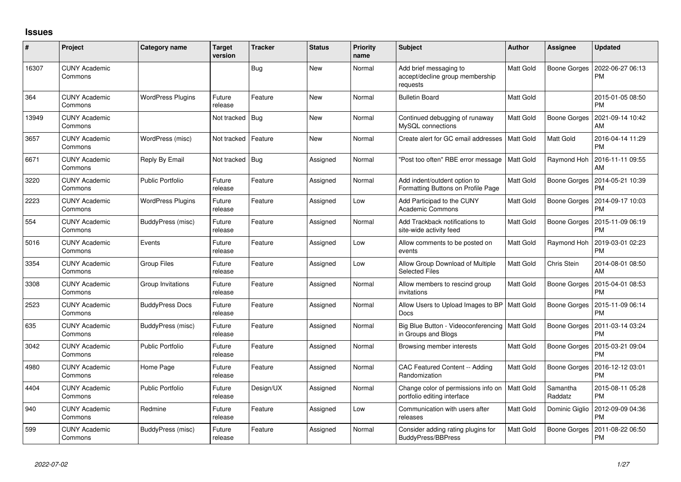## **Issues**

| #     | Project                         | Category name            | <b>Target</b><br>version | <b>Tracker</b> | <b>Status</b> | <b>Priority</b><br>name | <b>Subject</b>                                                         | <b>Author</b>    | <b>Assignee</b>     | <b>Updated</b>                |
|-------|---------------------------------|--------------------------|--------------------------|----------------|---------------|-------------------------|------------------------------------------------------------------------|------------------|---------------------|-------------------------------|
| 16307 | <b>CUNY Academic</b><br>Commons |                          |                          | Bug            | New           | Normal                  | Add brief messaging to<br>accept/decline group membership<br>requests  | <b>Matt Gold</b> | <b>Boone Gorges</b> | 2022-06-27 06:13<br><b>PM</b> |
| 364   | <b>CUNY Academic</b><br>Commons | <b>WordPress Plugins</b> | Future<br>release        | Feature        | <b>New</b>    | Normal                  | <b>Bulletin Board</b>                                                  | Matt Gold        |                     | 2015-01-05 08:50<br><b>PM</b> |
| 13949 | <b>CUNY Academic</b><br>Commons |                          | Not tracked              | Bug            | <b>New</b>    | Normal                  | Continued debugging of runaway<br>MySQL connections                    | <b>Matt Gold</b> | <b>Boone Gorges</b> | 2021-09-14 10:42<br>AM        |
| 3657  | <b>CUNY Academic</b><br>Commons | WordPress (misc)         | Not tracked              | Feature        | <b>New</b>    | Normal                  | Create alert for GC email addresses                                    | <b>Matt Gold</b> | Matt Gold           | 2016-04-14 11:29<br><b>PM</b> |
| 6671  | <b>CUNY Academic</b><br>Commons | Reply By Email           | Not tracked              | Bug            | Assigned      | Normal                  | 'Post too often" RBE error message                                     | <b>Matt Gold</b> | Raymond Hoh         | 2016-11-11 09:55<br>AM        |
| 3220  | <b>CUNY Academic</b><br>Commons | <b>Public Portfolio</b>  | Future<br>release        | Feature        | Assigned      | Normal                  | Add indent/outdent option to<br>Formatting Buttons on Profile Page     | Matt Gold        | Boone Gorges        | 2014-05-21 10:39<br><b>PM</b> |
| 2223  | <b>CUNY Academic</b><br>Commons | <b>WordPress Plugins</b> | Future<br>release        | Feature        | Assigned      | Low                     | Add Participad to the CUNY<br><b>Academic Commons</b>                  | Matt Gold        | Boone Gorges        | 2014-09-17 10:03<br><b>PM</b> |
| 554   | <b>CUNY Academic</b><br>Commons | BuddyPress (misc)        | Future<br>release        | Feature        | Assigned      | Normal                  | Add Trackback notifications to<br>site-wide activity feed              | <b>Matt Gold</b> | Boone Gorges        | 2015-11-09 06:19<br><b>PM</b> |
| 5016  | <b>CUNY Academic</b><br>Commons | Events                   | Future<br>release        | Feature        | Assigned      | Low                     | Allow comments to be posted on<br>events                               | <b>Matt Gold</b> | Raymond Hoh         | 2019-03-01 02:23<br><b>PM</b> |
| 3354  | <b>CUNY Academic</b><br>Commons | <b>Group Files</b>       | Future<br>release        | Feature        | Assigned      | Low                     | Allow Group Download of Multiple<br><b>Selected Files</b>              | Matt Gold        | Chris Stein         | 2014-08-01 08:50<br>AM        |
| 3308  | <b>CUNY Academic</b><br>Commons | Group Invitations        | Future<br>release        | Feature        | Assigned      | Normal                  | Allow members to rescind group<br>invitations                          | <b>Matt Gold</b> | <b>Boone Gorges</b> | 2015-04-01 08:53<br><b>PM</b> |
| 2523  | <b>CUNY Academic</b><br>Commons | <b>BuddyPress Docs</b>   | Future<br>release        | Feature        | Assigned      | Normal                  | Allow Users to Upload Images to BP   Matt Gold<br>Docs                 |                  | <b>Boone Gorges</b> | 2015-11-09 06:14<br><b>PM</b> |
| 635   | <b>CUNY Academic</b><br>Commons | BuddyPress (misc)        | Future<br>release        | Feature        | Assigned      | Normal                  | Big Blue Button - Videoconferencing   Matt Gold<br>in Groups and Blogs |                  | Boone Gorges        | 2011-03-14 03:24<br><b>PM</b> |
| 3042  | <b>CUNY Academic</b><br>Commons | <b>Public Portfolio</b>  | Future<br>release        | Feature        | Assigned      | Normal                  | Browsing member interests                                              | <b>Matt Gold</b> | Boone Gorges        | 2015-03-21 09:04<br><b>PM</b> |
| 4980  | <b>CUNY Academic</b><br>Commons | Home Page                | Future<br>release        | Feature        | Assigned      | Normal                  | CAC Featured Content -- Adding<br>Randomization                        | <b>Matt Gold</b> | Boone Gorges        | 2016-12-12 03:01<br><b>PM</b> |
| 4404  | <b>CUNY Academic</b><br>Commons | <b>Public Portfolio</b>  | Future<br>release        | Design/UX      | Assigned      | Normal                  | Change color of permissions info on<br>portfolio editing interface     | <b>Matt Gold</b> | Samantha<br>Raddatz | 2015-08-11 05:28<br><b>PM</b> |
| 940   | <b>CUNY Academic</b><br>Commons | Redmine                  | Future<br>release        | Feature        | Assigned      | Low                     | Communication with users after<br>releases                             | <b>Matt Gold</b> | Dominic Giglio      | 2012-09-09 04:36<br><b>PM</b> |
| 599   | <b>CUNY Academic</b><br>Commons | BuddyPress (misc)        | Future<br>release        | Feature        | Assigned      | Normal                  | Consider adding rating plugins for<br>BuddyPress/BBPress               | Matt Gold        | Boone Gorges        | 2011-08-22 06:50<br><b>PM</b> |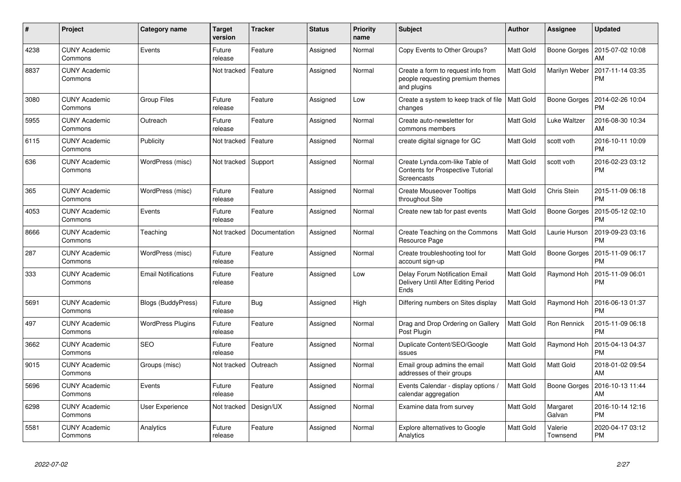| $\pmb{\#}$ | Project                         | Category name              | <b>Target</b><br>version | <b>Tracker</b> | <b>Status</b> | Priority<br>name | <b>Subject</b>                                                                        | Author           | <b>Assignee</b>     | <b>Updated</b>                |
|------------|---------------------------------|----------------------------|--------------------------|----------------|---------------|------------------|---------------------------------------------------------------------------------------|------------------|---------------------|-------------------------------|
| 4238       | <b>CUNY Academic</b><br>Commons | Events                     | Future<br>release        | Feature        | Assigned      | Normal           | Copy Events to Other Groups?                                                          | Matt Gold        | Boone Gorges        | 2015-07-02 10:08<br>AM        |
| 8837       | <b>CUNY Academic</b><br>Commons |                            | Not tracked              | Feature        | Assigned      | Normal           | Create a form to request info from<br>people requesting premium themes<br>and plugins | Matt Gold        | Marilyn Weber       | 2017-11-14 03:35<br><b>PM</b> |
| 3080       | <b>CUNY Academic</b><br>Commons | <b>Group Files</b>         | Future<br>release        | Feature        | Assigned      | Low              | Create a system to keep track of file<br>changes                                      | <b>Matt Gold</b> | Boone Gorges        | 2014-02-26 10:04<br><b>PM</b> |
| 5955       | <b>CUNY Academic</b><br>Commons | Outreach                   | Future<br>release        | Feature        | Assigned      | Normal           | Create auto-newsletter for<br>commons members                                         | Matt Gold        | Luke Waltzer        | 2016-08-30 10:34<br>AM        |
| 6115       | <b>CUNY Academic</b><br>Commons | Publicity                  | Not tracked              | Feature        | Assigned      | Normal           | create digital signage for GC                                                         | Matt Gold        | scott voth          | 2016-10-11 10:09<br><b>PM</b> |
| 636        | <b>CUNY Academic</b><br>Commons | WordPress (misc)           | Not tracked   Support    |                | Assigned      | Normal           | Create Lynda.com-like Table of<br>Contents for Prospective Tutorial<br>Screencasts    | Matt Gold        | scott voth          | 2016-02-23 03:12<br><b>PM</b> |
| 365        | <b>CUNY Academic</b><br>Commons | WordPress (misc)           | Future<br>release        | Feature        | Assigned      | Normal           | <b>Create Mouseover Tooltips</b><br>throughout Site                                   | Matt Gold        | Chris Stein         | 2015-11-09 06:18<br><b>PM</b> |
| 4053       | <b>CUNY Academic</b><br>Commons | Events                     | Future<br>release        | Feature        | Assigned      | Normal           | Create new tab for past events                                                        | Matt Gold        | Boone Gorges        | 2015-05-12 02:10<br><b>PM</b> |
| 8666       | <b>CUNY Academic</b><br>Commons | Teaching                   | Not tracked              | Documentation  | Assigned      | Normal           | Create Teaching on the Commons<br>Resource Page                                       | Matt Gold        | Laurie Hurson       | 2019-09-23 03:16<br><b>PM</b> |
| 287        | <b>CUNY Academic</b><br>Commons | WordPress (misc)           | Future<br>release        | Feature        | Assigned      | Normal           | Create troubleshooting tool for<br>account sign-up                                    | Matt Gold        | Boone Gorges        | 2015-11-09 06:17<br><b>PM</b> |
| 333        | <b>CUNY Academic</b><br>Commons | <b>Email Notifications</b> | Future<br>release        | Feature        | Assigned      | Low              | <b>Delay Forum Notification Email</b><br>Delivery Until After Editing Period<br>Ends  | Matt Gold        | Raymond Hoh         | 2015-11-09 06:01<br><b>PM</b> |
| 5691       | <b>CUNY Academic</b><br>Commons | Blogs (BuddyPress)         | Future<br>release        | Bug            | Assigned      | High             | Differing numbers on Sites display                                                    | Matt Gold        | Raymond Hoh         | 2016-06-13 01:37<br><b>PM</b> |
| 497        | <b>CUNY Academic</b><br>Commons | <b>WordPress Plugins</b>   | Future<br>release        | Feature        | Assigned      | Normal           | Drag and Drop Ordering on Gallery<br>Post Plugin                                      | <b>Matt Gold</b> | <b>Ron Rennick</b>  | 2015-11-09 06:18<br><b>PM</b> |
| 3662       | <b>CUNY Academic</b><br>Commons | <b>SEO</b>                 | Future<br>release        | Feature        | Assigned      | Normal           | Duplicate Content/SEO/Google<br>issues                                                | Matt Gold        | Raymond Hoh         | 2015-04-13 04:37<br><b>PM</b> |
| 9015       | <b>CUNY Academic</b><br>Commons | Groups (misc)              | Not tracked              | Outreach       | Assigned      | Normal           | Email group admins the email<br>addresses of their groups                             | Matt Gold        | Matt Gold           | 2018-01-02 09:54<br>AM        |
| 5696       | <b>CUNY Academic</b><br>Commons | Events                     | Future<br>release        | Feature        | Assigned      | Normal           | Events Calendar - display options /<br>calendar aggregation                           | Matt Gold        | Boone Gorges        | 2016-10-13 11:44<br>AM        |
| 6298       | <b>CUNY Academic</b><br>Commons | <b>User Experience</b>     | Not tracked              | Design/UX      | Assigned      | Normal           | Examine data from survey                                                              | Matt Gold        | Margaret<br>Galvan  | 2016-10-14 12:16<br><b>PM</b> |
| 5581       | <b>CUNY Academic</b><br>Commons | Analytics                  | Future<br>release        | Feature        | Assigned      | Normal           | <b>Explore alternatives to Google</b><br>Analytics                                    | Matt Gold        | Valerie<br>Townsend | 2020-04-17 03:12<br><b>PM</b> |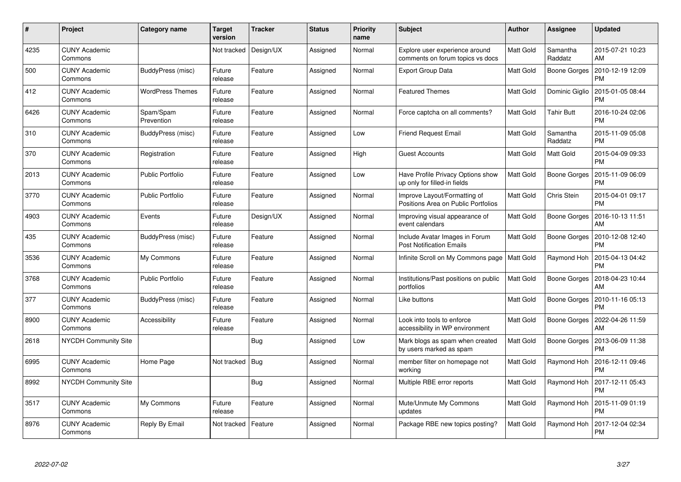| #    | Project                         | Category name           | <b>Target</b><br>version | <b>Tracker</b> | <b>Status</b> | <b>Priority</b><br>name | <b>Subject</b>                                                      | <b>Author</b> | <b>Assignee</b>     | <b>Updated</b>                |
|------|---------------------------------|-------------------------|--------------------------|----------------|---------------|-------------------------|---------------------------------------------------------------------|---------------|---------------------|-------------------------------|
| 4235 | <b>CUNY Academic</b><br>Commons |                         | Not tracked              | Design/UX      | Assigned      | Normal                  | Explore user experience around<br>comments on forum topics vs docs  | Matt Gold     | Samantha<br>Raddatz | 2015-07-21 10:23<br>AM        |
| 500  | <b>CUNY Academic</b><br>Commons | BuddyPress (misc)       | Future<br>release        | Feature        | Assigned      | Normal                  | <b>Export Group Data</b>                                            | Matt Gold     | Boone Gorges        | 2010-12-19 12:09<br><b>PM</b> |
| 412  | <b>CUNY Academic</b><br>Commons | <b>WordPress Themes</b> | Future<br>release        | Feature        | Assigned      | Normal                  | <b>Featured Themes</b>                                              | Matt Gold     | Dominic Giglio      | 2015-01-05 08:44<br><b>PM</b> |
| 6426 | <b>CUNY Academic</b><br>Commons | Spam/Spam<br>Prevention | Future<br>release        | Feature        | Assigned      | Normal                  | Force captcha on all comments?                                      | Matt Gold     | <b>Tahir Butt</b>   | 2016-10-24 02:06<br><b>PM</b> |
| 310  | <b>CUNY Academic</b><br>Commons | BuddyPress (misc)       | Future<br>release        | Feature        | Assigned      | Low                     | <b>Friend Request Email</b>                                         | Matt Gold     | Samantha<br>Raddatz | 2015-11-09 05:08<br><b>PM</b> |
| 370  | <b>CUNY Academic</b><br>Commons | Registration            | Future<br>release        | Feature        | Assigned      | High                    | <b>Guest Accounts</b>                                               | Matt Gold     | Matt Gold           | 2015-04-09 09:33<br><b>PM</b> |
| 2013 | <b>CUNY Academic</b><br>Commons | <b>Public Portfolio</b> | Future<br>release        | Feature        | Assigned      | Low                     | Have Profile Privacy Options show<br>up only for filled-in fields   | Matt Gold     | <b>Boone Gorges</b> | 2015-11-09 06:09<br><b>PM</b> |
| 3770 | <b>CUNY Academic</b><br>Commons | <b>Public Portfolio</b> | Future<br>release        | Feature        | Assigned      | Normal                  | Improve Layout/Formatting of<br>Positions Area on Public Portfolios | Matt Gold     | Chris Stein         | 2015-04-01 09:17<br><b>PM</b> |
| 4903 | <b>CUNY Academic</b><br>Commons | Events                  | Future<br>release        | Design/UX      | Assigned      | Normal                  | Improving visual appearance of<br>event calendars                   | Matt Gold     | Boone Gorges        | 2016-10-13 11:51<br>AM        |
| 435  | <b>CUNY Academic</b><br>Commons | BuddyPress (misc)       | Future<br>release        | Feature        | Assigned      | Normal                  | Include Avatar Images in Forum<br><b>Post Notification Emails</b>   | Matt Gold     | Boone Gorges        | 2010-12-08 12:40<br><b>PM</b> |
| 3536 | <b>CUNY Academic</b><br>Commons | My Commons              | Future<br>release        | Feature        | Assigned      | Normal                  | Infinite Scroll on My Commons page                                  | Matt Gold     | Raymond Hoh         | 2015-04-13 04:42<br><b>PM</b> |
| 3768 | <b>CUNY Academic</b><br>Commons | <b>Public Portfolio</b> | Future<br>release        | Feature        | Assigned      | Normal                  | Institutions/Past positions on public<br>portfolios                 | Matt Gold     | Boone Gorges        | 2018-04-23 10:44<br>AM        |
| 377  | <b>CUNY Academic</b><br>Commons | BuddyPress (misc)       | Future<br>release        | Feature        | Assigned      | Normal                  | Like buttons                                                        | Matt Gold     | Boone Gorges        | 2010-11-16 05:13<br><b>PM</b> |
| 8900 | <b>CUNY Academic</b><br>Commons | Accessibility           | Future<br>release        | Feature        | Assigned      | Normal                  | Look into tools to enforce<br>accessibility in WP environment       | Matt Gold     | Boone Gorges        | 2022-04-26 11:59<br>AM        |
| 2618 | <b>NYCDH Community Site</b>     |                         |                          | Bug            | Assigned      | Low                     | Mark blogs as spam when created<br>by users marked as spam          | Matt Gold     | <b>Boone Gorges</b> | 2013-06-09 11:38<br><b>PM</b> |
| 6995 | <b>CUNY Academic</b><br>Commons | Home Page               | Not tracked              | Bug            | Assigned      | Normal                  | member filter on homepage not<br>working                            | Matt Gold     | Raymond Hoh         | 2016-12-11 09:46<br><b>PM</b> |
| 8992 | <b>NYCDH Community Site</b>     |                         |                          | Bug            | Assigned      | Normal                  | Multiple RBE error reports                                          | Matt Gold     | Raymond Hoh         | 2017-12-11 05:43<br><b>PM</b> |
| 3517 | <b>CUNY Academic</b><br>Commons | My Commons              | Future<br>release        | Feature        | Assigned      | Normal                  | Mute/Unmute My Commons<br>updates                                   | Matt Gold     | Raymond Hoh         | 2015-11-09 01:19<br><b>PM</b> |
| 8976 | <b>CUNY Academic</b><br>Commons | Reply By Email          | Not tracked              | Feature        | Assigned      | Normal                  | Package RBE new topics posting?                                     | Matt Gold     | Raymond Hoh         | 2017-12-04 02:34<br><b>PM</b> |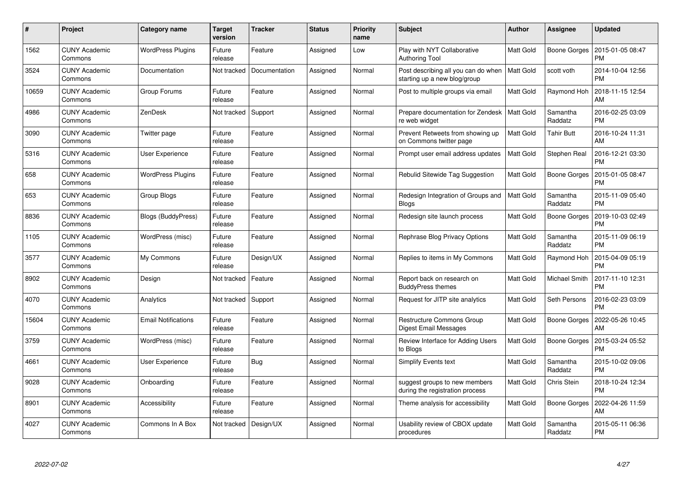| #     | Project                         | Category name              | Target<br>version | <b>Tracker</b> | <b>Status</b> | <b>Priority</b><br>name | <b>Subject</b>                                                      | <b>Author</b>    | Assignee            | <b>Updated</b>                |
|-------|---------------------------------|----------------------------|-------------------|----------------|---------------|-------------------------|---------------------------------------------------------------------|------------------|---------------------|-------------------------------|
| 1562  | <b>CUNY Academic</b><br>Commons | <b>WordPress Plugins</b>   | Future<br>release | Feature        | Assigned      | Low                     | Play with NYT Collaborative<br><b>Authoring Tool</b>                | Matt Gold        | Boone Gorges        | 2015-01-05 08:47<br><b>PM</b> |
| 3524  | <b>CUNY Academic</b><br>Commons | Documentation              | Not tracked       | Documentation  | Assigned      | Normal                  | Post describing all you can do when<br>starting up a new blog/group | <b>Matt Gold</b> | scott voth          | 2014-10-04 12:56<br><b>PM</b> |
| 10659 | <b>CUNY Academic</b><br>Commons | Group Forums               | Future<br>release | Feature        | Assigned      | Normal                  | Post to multiple groups via email                                   | Matt Gold        | Raymond Hoh         | 2018-11-15 12:54<br>AM        |
| 4986  | <b>CUNY Academic</b><br>Commons | ZenDesk                    | Not tracked       | Support        | Assigned      | Normal                  | Prepare documentation for Zendesk<br>re web widget                  | Matt Gold        | Samantha<br>Raddatz | 2016-02-25 03:09<br><b>PM</b> |
| 3090  | <b>CUNY Academic</b><br>Commons | Twitter page               | Future<br>release | Feature        | Assigned      | Normal                  | Prevent Retweets from showing up<br>on Commons twitter page         | <b>Matt Gold</b> | <b>Tahir Butt</b>   | 2016-10-24 11:31<br>AM        |
| 5316  | <b>CUNY Academic</b><br>Commons | User Experience            | Future<br>release | Feature        | Assigned      | Normal                  | Prompt user email address updates                                   | Matt Gold        | Stephen Real        | 2016-12-21 03:30<br><b>PM</b> |
| 658   | <b>CUNY Academic</b><br>Commons | <b>WordPress Plugins</b>   | Future<br>release | Feature        | Assigned      | Normal                  | Rebulid Sitewide Tag Suggestion                                     | Matt Gold        | Boone Gorges        | 2015-01-05 08:47<br><b>PM</b> |
| 653   | <b>CUNY Academic</b><br>Commons | Group Blogs                | Future<br>release | Feature        | Assigned      | Normal                  | Redesign Integration of Groups and<br><b>Blogs</b>                  | Matt Gold        | Samantha<br>Raddatz | 2015-11-09 05:40<br><b>PM</b> |
| 8836  | <b>CUNY Academic</b><br>Commons | Blogs (BuddyPress)         | Future<br>release | Feature        | Assigned      | Normal                  | Redesign site launch process                                        | Matt Gold        | Boone Gorges        | 2019-10-03 02:49<br><b>PM</b> |
| 1105  | <b>CUNY Academic</b><br>Commons | WordPress (misc)           | Future<br>release | Feature        | Assigned      | Normal                  | Rephrase Blog Privacy Options                                       | Matt Gold        | Samantha<br>Raddatz | 2015-11-09 06:19<br><b>PM</b> |
| 3577  | <b>CUNY Academic</b><br>Commons | My Commons                 | Future<br>release | Design/UX      | Assigned      | Normal                  | Replies to items in My Commons                                      | Matt Gold        | Raymond Hoh         | 2015-04-09 05:19<br><b>PM</b> |
| 8902  | <b>CUNY Academic</b><br>Commons | Design                     | Not tracked       | Feature        | Assigned      | Normal                  | Report back on research on<br><b>BuddyPress themes</b>              | Matt Gold        | Michael Smith       | 2017-11-10 12:31<br><b>PM</b> |
| 4070  | <b>CUNY Academic</b><br>Commons | Analytics                  | Not tracked       | Support        | Assigned      | Normal                  | Request for JITP site analytics                                     | Matt Gold        | Seth Persons        | 2016-02-23 03:09<br><b>PM</b> |
| 15604 | <b>CUNY Academic</b><br>Commons | <b>Email Notifications</b> | Future<br>release | Feature        | Assigned      | Normal                  | Restructure Commons Group<br>Digest Email Messages                  | Matt Gold        | Boone Gorges        | 2022-05-26 10:45<br>AM        |
| 3759  | <b>CUNY Academic</b><br>Commons | WordPress (misc)           | Future<br>release | Feature        | Assigned      | Normal                  | Review Interface for Adding Users<br>to Blogs                       | Matt Gold        | Boone Gorges        | 2015-03-24 05:52<br><b>PM</b> |
| 4661  | <b>CUNY Academic</b><br>Commons | User Experience            | Future<br>release | <b>Bug</b>     | Assigned      | Normal                  | Simplify Events text                                                | Matt Gold        | Samantha<br>Raddatz | 2015-10-02 09:06<br><b>PM</b> |
| 9028  | <b>CUNY Academic</b><br>Commons | Onboarding                 | Future<br>release | Feature        | Assigned      | Normal                  | suggest groups to new members<br>during the registration process    | <b>Matt Gold</b> | Chris Stein         | 2018-10-24 12:34<br><b>PM</b> |
| 8901  | <b>CUNY Academic</b><br>Commons | Accessibility              | Future<br>release | Feature        | Assigned      | Normal                  | Theme analysis for accessibility                                    | Matt Gold        | <b>Boone Gorges</b> | 2022-04-26 11:59<br>AM        |
| 4027  | <b>CUNY Academic</b><br>Commons | Commons In A Box           | Not tracked       | Design/UX      | Assigned      | Normal                  | Usability review of CBOX update<br>procedures                       | Matt Gold        | Samantha<br>Raddatz | 2015-05-11 06:36<br><b>PM</b> |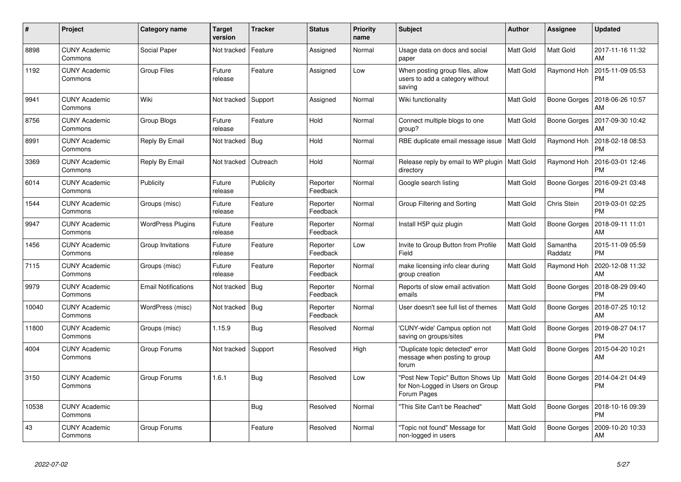| $\#$  | Project                         | Category name              | <b>Target</b><br>version | <b>Tracker</b> | <b>Status</b>        | Priority<br>name | <b>Subject</b>                                                                      | Author           | <b>Assignee</b>     | <b>Updated</b>                |
|-------|---------------------------------|----------------------------|--------------------------|----------------|----------------------|------------------|-------------------------------------------------------------------------------------|------------------|---------------------|-------------------------------|
| 8898  | <b>CUNY Academic</b><br>Commons | Social Paper               | Not tracked              | Feature        | Assigned             | Normal           | Usage data on docs and social<br>paper                                              | Matt Gold        | <b>Matt Gold</b>    | 2017-11-16 11:32<br>AM        |
| 1192  | <b>CUNY Academic</b><br>Commons | <b>Group Files</b>         | Future<br>release        | Feature        | Assigned             | Low              | When posting group files, allow<br>users to add a category without<br>saving        | Matt Gold        | Raymond Hoh         | 2015-11-09 05:53<br><b>PM</b> |
| 9941  | <b>CUNY Academic</b><br>Commons | Wiki                       | Not tracked              | Support        | Assigned             | Normal           | Wiki functionality                                                                  | Matt Gold        | Boone Gorges        | 2018-06-26 10:57<br>AM        |
| 8756  | <b>CUNY Academic</b><br>Commons | Group Blogs                | Future<br>release        | Feature        | Hold                 | Normal           | Connect multiple blogs to one<br>group?                                             | Matt Gold        | <b>Boone Gorges</b> | 2017-09-30 10:42<br>AM        |
| 8991  | <b>CUNY Academic</b><br>Commons | Reply By Email             | Not tracked              | Bug            | Hold                 | Normal           | RBE duplicate email message issue                                                   | <b>Matt Gold</b> | Raymond Hoh         | 2018-02-18 08:53<br><b>PM</b> |
| 3369  | <b>CUNY Academic</b><br>Commons | Reply By Email             | Not tracked              | Outreach       | Hold                 | Normal           | Release reply by email to WP plugin<br>directory                                    | <b>Matt Gold</b> | Raymond Hoh         | 2016-03-01 12:46<br><b>PM</b> |
| 6014  | <b>CUNY Academic</b><br>Commons | Publicity                  | Future<br>release        | Publicity      | Reporter<br>Feedback | Normal           | Google search listing                                                               | Matt Gold        | <b>Boone Gorges</b> | 2016-09-21 03:48<br><b>PM</b> |
| 1544  | <b>CUNY Academic</b><br>Commons | Groups (misc)              | Future<br>release        | Feature        | Reporter<br>Feedback | Normal           | Group Filtering and Sorting                                                         | Matt Gold        | Chris Stein         | 2019-03-01 02:25<br><b>PM</b> |
| 9947  | <b>CUNY Academic</b><br>Commons | <b>WordPress Plugins</b>   | Future<br>release        | Feature        | Reporter<br>Feedback | Normal           | Install H5P quiz plugin                                                             | Matt Gold        | Boone Gorges        | 2018-09-11 11:01<br>AM        |
| 1456  | <b>CUNY Academic</b><br>Commons | Group Invitations          | Future<br>release        | Feature        | Reporter<br>Feedback | Low              | Invite to Group Button from Profile<br>Field                                        | Matt Gold        | Samantha<br>Raddatz | 2015-11-09 05:59<br><b>PM</b> |
| 7115  | <b>CUNY Academic</b><br>Commons | Groups (misc)              | Future<br>release        | Feature        | Reporter<br>Feedback | Normal           | make licensing info clear during<br>group creation                                  | Matt Gold        | Raymond Hor         | 2020-12-08 11:32<br>AM        |
| 9979  | CUNY Academic<br>Commons        | <b>Email Notifications</b> | Not tracked              | Bug            | Reporter<br>Feedback | Normal           | Reports of slow email activation<br>emails                                          | Matt Gold        | Boone Gorges        | 2018-08-29 09:40<br><b>PM</b> |
| 10040 | CUNY Academic<br>Commons        | WordPress (misc)           | Not tracked   Bug        |                | Reporter<br>Feedback | Normal           | User doesn't see full list of themes                                                | Matt Gold        | Boone Gorges        | 2018-07-25 10:12<br>AM        |
| 11800 | <b>CUNY Academic</b><br>Commons | Groups (misc)              | 1.15.9                   | Bug            | Resolved             | Normal           | 'CUNY-wide' Campus option not<br>saving on groups/sites                             | Matt Gold        | Boone Gorges        | 2019-08-27 04:17<br><b>PM</b> |
| 4004  | <b>CUNY Academic</b><br>Commons | Group Forums               | Not tracked              | Support        | Resolved             | High             | "Duplicate topic detected" error<br>message when posting to group<br>forum          | Matt Gold        | Boone Gorges        | 2015-04-20 10:21<br>AM        |
| 3150  | <b>CUNY Academic</b><br>Commons | Group Forums               | 1.6.1                    | Bug            | Resolved             | Low              | "Post New Topic" Button Shows Up<br>for Non-Logged in Users on Group<br>Forum Pages | Matt Gold        | <b>Boone Gorges</b> | 2014-04-21 04:49<br><b>PM</b> |
| 10538 | <b>CUNY Academic</b><br>Commons |                            |                          | <b>Bug</b>     | Resolved             | Normal           | 'This Site Can't be Reached"                                                        | Matt Gold        | Boone Gorges        | 2018-10-16 09:39<br><b>PM</b> |
| 43    | <b>CUNY Academic</b><br>Commons | Group Forums               |                          | Feature        | Resolved             | Normal           | 'Topic not found" Message for<br>non-logged in users                                | Matt Gold        | <b>Boone Gorges</b> | 2009-10-20 10:33<br>AM        |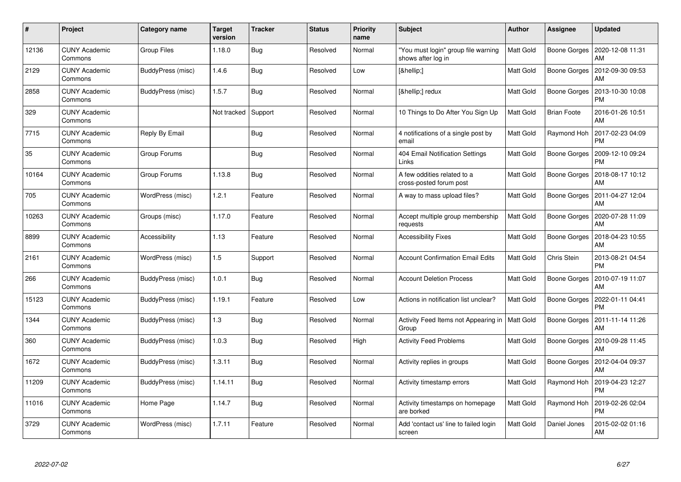| #     | Project                         | Category name     | Target<br>version   | <b>Tracker</b> | <b>Status</b> | <b>Priority</b><br>name | <b>Subject</b>                                            | <b>Author</b> | Assignee            | <b>Updated</b>                |
|-------|---------------------------------|-------------------|---------------------|----------------|---------------|-------------------------|-----------------------------------------------------------|---------------|---------------------|-------------------------------|
| 12136 | <b>CUNY Academic</b><br>Commons | Group Files       | 1.18.0              | Bug            | Resolved      | Normal                  | "You must login" group file warning<br>shows after log in | Matt Gold     | Boone Gorges        | 2020-12-08 11:31<br>AM        |
| 2129  | <b>CUNY Academic</b><br>Commons | BuddyPress (misc) | 1.4.6               | <b>Bug</b>     | Resolved      | Low                     | […]                                                       | Matt Gold     | Boone Gorges        | 2012-09-30 09:53<br>AM        |
| 2858  | <b>CUNY Academic</b><br>Commons | BuddyPress (misc) | 1.5.7               | Bug            | Resolved      | Normal                  | […] redux                                                 | Matt Gold     | Boone Gorges        | 2013-10-30 10:08<br><b>PM</b> |
| 329   | <b>CUNY Academic</b><br>Commons |                   | Not tracked Support |                | Resolved      | Normal                  | 10 Things to Do After You Sign Up                         | Matt Gold     | <b>Brian Foote</b>  | 2016-01-26 10:51<br>AM        |
| 7715  | <b>CUNY Academic</b><br>Commons | Reply By Email    |                     | <b>Bug</b>     | Resolved      | Normal                  | 4 notifications of a single post by<br>email              | Matt Gold     | Raymond Hoh         | 2017-02-23 04:09<br><b>PM</b> |
| 35    | <b>CUNY Academic</b><br>Commons | Group Forums      |                     | Bug            | Resolved      | Normal                  | 404 Email Notification Settings<br>Links                  | Matt Gold     | Boone Gorges        | 2009-12-10 09:24<br><b>PM</b> |
| 10164 | <b>CUNY Academic</b><br>Commons | Group Forums      | 1.13.8              | Bug            | Resolved      | Normal                  | A few oddities related to a<br>cross-posted forum post    | Matt Gold     | <b>Boone Gorges</b> | 2018-08-17 10:12<br>AM        |
| 705   | <b>CUNY Academic</b><br>Commons | WordPress (misc)  | 1.2.1               | Feature        | Resolved      | Normal                  | A way to mass upload files?                               | Matt Gold     | Boone Gorges        | 2011-04-27 12:04<br>AM        |
| 10263 | <b>CUNY Academic</b><br>Commons | Groups (misc)     | 1.17.0              | Feature        | Resolved      | Normal                  | Accept multiple group membership<br>requests              | Matt Gold     | Boone Gorges        | 2020-07-28 11:09<br>AM        |
| 8899  | <b>CUNY Academic</b><br>Commons | Accessibility     | 1.13                | Feature        | Resolved      | Normal                  | <b>Accessibility Fixes</b>                                | Matt Gold     | Boone Gorges        | 2018-04-23 10:55<br>AM        |
| 2161  | <b>CUNY Academic</b><br>Commons | WordPress (misc)  | 1.5                 | Support        | Resolved      | Normal                  | <b>Account Confirmation Email Edits</b>                   | Matt Gold     | Chris Stein         | 2013-08-21 04:54<br><b>PM</b> |
| 266   | <b>CUNY Academic</b><br>Commons | BuddyPress (misc) | 1.0.1               | Bug            | Resolved      | Normal                  | <b>Account Deletion Process</b>                           | Matt Gold     | Boone Gorges        | 2010-07-19 11:07<br>AM        |
| 15123 | <b>CUNY Academic</b><br>Commons | BuddyPress (misc) | 1.19.1              | Feature        | Resolved      | Low                     | Actions in notification list unclear?                     | Matt Gold     | Boone Gorges        | 2022-01-11 04:41<br><b>PM</b> |
| 1344  | <b>CUNY Academic</b><br>Commons | BuddyPress (misc) | 1.3                 | <b>Bug</b>     | Resolved      | Normal                  | Activity Feed Items not Appearing in<br>Group             | Matt Gold     | Boone Gorges        | 2011-11-14 11:26<br>AM        |
| 360   | <b>CUNY Academic</b><br>Commons | BuddyPress (misc) | 1.0.3               | <b>Bug</b>     | Resolved      | High                    | <b>Activity Feed Problems</b>                             | Matt Gold     | Boone Gorges        | 2010-09-28 11:45<br>AM        |
| 1672  | <b>CUNY Academic</b><br>Commons | BuddyPress (misc) | 1.3.11              | Bug            | Resolved      | Normal                  | Activity replies in groups                                | Matt Gold     | Boone Gorges        | 2012-04-04 09:37<br>AM        |
| 11209 | <b>CUNY Academic</b><br>Commons | BuddyPress (misc) | 1.14.11             | Bug            | Resolved      | Normal                  | Activity timestamp errors                                 | Matt Gold     | Raymond Hoh         | 2019-04-23 12:27<br><b>PM</b> |
| 11016 | <b>CUNY Academic</b><br>Commons | Home Page         | 1.14.7              | Bug            | Resolved      | Normal                  | Activity timestamps on homepage<br>are borked             | Matt Gold     | Raymond Hoh         | 2019-02-26 02:04<br><b>PM</b> |
| 3729  | CUNY Academic<br>Commons        | WordPress (misc)  | 1.7.11              | Feature        | Resolved      | Normal                  | Add 'contact us' line to failed login<br>screen           | Matt Gold     | Daniel Jones        | 2015-02-02 01:16<br>AM        |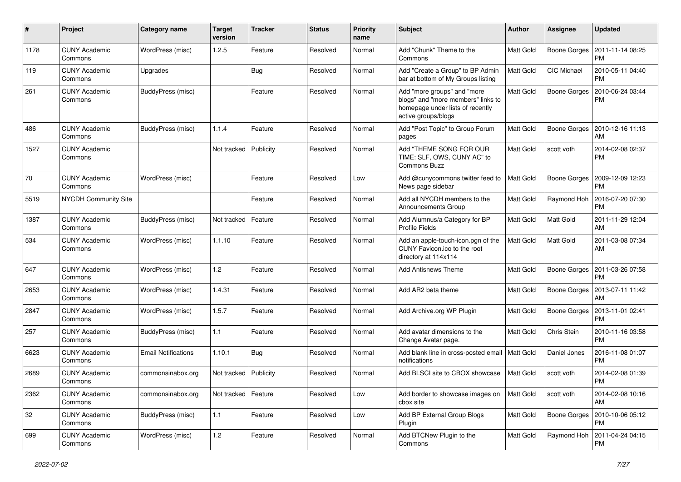| $\pmb{\#}$ | Project                         | Category name              | <b>Target</b><br>version | <b>Tracker</b> | <b>Status</b> | <b>Priority</b><br>name | Subject                                                                                                                      | Author           | <b>Assignee</b>     | <b>Updated</b>                               |
|------------|---------------------------------|----------------------------|--------------------------|----------------|---------------|-------------------------|------------------------------------------------------------------------------------------------------------------------------|------------------|---------------------|----------------------------------------------|
| 1178       | <b>CUNY Academic</b><br>Commons | WordPress (misc)           | 1.2.5                    | Feature        | Resolved      | Normal                  | Add "Chunk" Theme to the<br>Commons                                                                                          | Matt Gold        | Boone Gorges        | 2011-11-14 08:25<br><b>PM</b>                |
| 119        | <b>CUNY Academic</b><br>Commons | Upgrades                   |                          | Bug            | Resolved      | Normal                  | Add "Create a Group" to BP Admin<br>bar at bottom of My Groups listing                                                       | <b>Matt Gold</b> | CIC Michael         | 2010-05-11 04:40<br><b>PM</b>                |
| 261        | <b>CUNY Academic</b><br>Commons | BuddyPress (misc)          |                          | Feature        | Resolved      | Normal                  | Add "more groups" and "more<br>blogs" and "more members" links to<br>homepage under lists of recently<br>active groups/blogs | <b>Matt Gold</b> | <b>Boone Gorges</b> | 2010-06-24 03:44<br><b>PM</b>                |
| 486        | <b>CUNY Academic</b><br>Commons | BuddyPress (misc)          | 1.1.4                    | Feature        | Resolved      | Normal                  | Add "Post Topic" to Group Forum<br>pages                                                                                     | <b>Matt Gold</b> | Boone Gorges        | 2010-12-16 11:13<br>AM                       |
| 1527       | <b>CUNY Academic</b><br>Commons |                            | Not tracked              | Publicity      | Resolved      | Normal                  | Add "THEME SONG FOR OUR<br>TIME: SLF, OWS, CUNY AC" to<br>Commons Buzz                                                       | <b>Matt Gold</b> | scott voth          | 2014-02-08 02:37<br><b>PM</b>                |
| 70         | <b>CUNY Academic</b><br>Commons | WordPress (misc)           |                          | Feature        | Resolved      | Low                     | Add @cunycommons twitter feed to<br>News page sidebar                                                                        | <b>Matt Gold</b> | Boone Gorges        | 2009-12-09 12:23<br><b>PM</b>                |
| 5519       | <b>NYCDH Community Site</b>     |                            |                          | Feature        | Resolved      | Normal                  | Add all NYCDH members to the<br>Announcements Group                                                                          | Matt Gold        | Raymond Hoh         | 2016-07-20 07:30<br><b>PM</b>                |
| 1387       | <b>CUNY Academic</b><br>Commons | BuddyPress (misc)          | Not tracked              | Feature        | Resolved      | Normal                  | Add Alumnus/a Category for BP<br>Profile Fields                                                                              | Matt Gold        | Matt Gold           | 2011-11-29 12:04<br>AM                       |
| 534        | <b>CUNY Academic</b><br>Commons | WordPress (misc)           | 1.1.10                   | Feature        | Resolved      | Normal                  | Add an apple-touch-icon.pgn of the<br>CUNY Favicon.ico to the root<br>directory at 114x114                                   | Matt Gold        | Matt Gold           | 2011-03-08 07:34<br>AM                       |
| 647        | <b>CUNY Academic</b><br>Commons | WordPress (misc)           | 1.2                      | Feature        | Resolved      | Normal                  | Add Antisnews Theme                                                                                                          | <b>Matt Gold</b> | Boone Gorges        | 2011-03-26 07:58<br><b>PM</b>                |
| 2653       | <b>CUNY Academic</b><br>Commons | WordPress (misc)           | 1.4.31                   | Feature        | Resolved      | Normal                  | Add AR2 beta theme                                                                                                           | Matt Gold        | <b>Boone Gorges</b> | 2013-07-11 11:42<br>AM                       |
| 2847       | <b>CUNY Academic</b><br>Commons | WordPress (misc)           | 1.5.7                    | Feature        | Resolved      | Normal                  | Add Archive.org WP Plugin                                                                                                    | Matt Gold        | Boone Gorges        | 2013-11-01 02:41<br><b>PM</b>                |
| 257        | <b>CUNY Academic</b><br>Commons | BuddyPress (misc)          | $1.1$                    | Feature        | Resolved      | Normal                  | Add avatar dimensions to the<br>Change Avatar page.                                                                          | <b>Matt Gold</b> | Chris Stein         | 2010-11-16 03:58<br><b>PM</b>                |
| 6623       | <b>CUNY Academic</b><br>Commons | <b>Email Notifications</b> | 1.10.1                   | Bug            | Resolved      | Normal                  | Add blank line in cross-posted email<br>notifications                                                                        | <b>Matt Gold</b> | Daniel Jones        | 2016-11-08 01:07<br><b>PM</b>                |
| 2689       | <b>CUNY Academic</b><br>Commons | commonsinabox.org          | Not tracked              | Publicity      | Resolved      | Normal                  | Add BLSCI site to CBOX showcase                                                                                              | <b>Matt Gold</b> | scott voth          | 2014-02-08 01:39<br>PM                       |
| 2362       | <b>CUNY Academic</b><br>Commons | commonsinabox.org          | Not tracked              | Feature        | Resolved      | Low                     | Add border to showcase images on<br>cbox site                                                                                | <b>Matt Gold</b> | scott voth          | 2014-02-08 10:16<br>AM                       |
| 32         | <b>CUNY Academic</b><br>Commons | BuddyPress (misc)          | $1.1$                    | Feature        | Resolved      | Low                     | Add BP External Group Blogs<br>Plugin                                                                                        | Matt Gold        |                     | Boone Gorges   2010-10-06 05:12<br><b>PM</b> |
| 699        | <b>CUNY Academic</b><br>Commons | WordPress (misc)           | $1.2$                    | Feature        | Resolved      | Normal                  | Add BTCNew Plugin to the<br>Commons                                                                                          | Matt Gold        |                     | Raymond Hoh   2011-04-24 04:15<br><b>PM</b>  |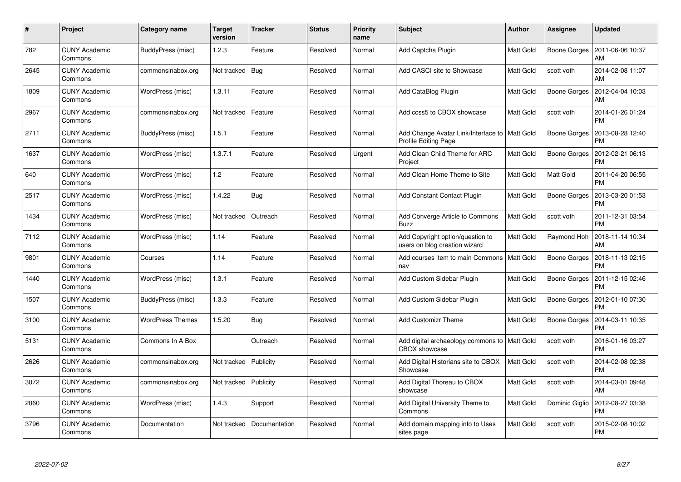| #    | Project                         | Category name           | <b>Target</b><br>version | <b>Tracker</b> | <b>Status</b> | <b>Priority</b><br>name | <b>Subject</b>                                                     | Author           | Assignee            | <b>Updated</b>                |
|------|---------------------------------|-------------------------|--------------------------|----------------|---------------|-------------------------|--------------------------------------------------------------------|------------------|---------------------|-------------------------------|
| 782  | <b>CUNY Academic</b><br>Commons | BuddyPress (misc)       | 1.2.3                    | Feature        | Resolved      | Normal                  | Add Captcha Plugin                                                 | Matt Gold        | Boone Gorges        | 2011-06-06 10:37<br>AM        |
| 2645 | <b>CUNY Academic</b><br>Commons | commonsinabox.org       | Not tracked              | Bug            | Resolved      | Normal                  | Add CASCI site to Showcase                                         | Matt Gold        | scott voth          | 2014-02-08 11:07<br>AM        |
| 1809 | <b>CUNY Academic</b><br>Commons | WordPress (misc)        | 1.3.11                   | Feature        | Resolved      | Normal                  | Add CataBlog Plugin                                                | Matt Gold        | <b>Boone Gorges</b> | 2012-04-04 10:03<br>AM        |
| 2967 | <b>CUNY Academic</b><br>Commons | commonsinabox.org       | Not tracked              | Feature        | Resolved      | Normal                  | Add ccss5 to CBOX showcase                                         | Matt Gold        | scott voth          | 2014-01-26 01:24<br><b>PM</b> |
| 2711 | <b>CUNY Academic</b><br>Commons | BuddyPress (misc)       | 1.5.1                    | Feature        | Resolved      | Normal                  | Add Change Avatar Link/Interface to<br><b>Profile Editing Page</b> | <b>Matt Gold</b> | Boone Gorges        | 2013-08-28 12:40<br><b>PM</b> |
| 1637 | <b>CUNY Academic</b><br>Commons | WordPress (misc)        | 1.3.7.1                  | Feature        | Resolved      | Urgent                  | Add Clean Child Theme for ARC<br>Project                           | Matt Gold        | Boone Gorges        | 2012-02-21 06:13<br><b>PM</b> |
| 640  | <b>CUNY Academic</b><br>Commons | WordPress (misc)        | 1.2                      | Feature        | Resolved      | Normal                  | Add Clean Home Theme to Site                                       | Matt Gold        | <b>Matt Gold</b>    | 2011-04-20 06:55<br><b>PM</b> |
| 2517 | <b>CUNY Academic</b><br>Commons | WordPress (misc)        | 1.4.22                   | <b>Bug</b>     | Resolved      | Normal                  | <b>Add Constant Contact Plugin</b>                                 | Matt Gold        | Boone Gorges        | 2013-03-20 01:53<br><b>PM</b> |
| 1434 | <b>CUNY Academic</b><br>Commons | WordPress (misc)        | Not tracked              | Outreach       | Resolved      | Normal                  | Add Converge Article to Commons<br><b>Buzz</b>                     | Matt Gold        | scott voth          | 2011-12-31 03:54<br><b>PM</b> |
| 7112 | <b>CUNY Academic</b><br>Commons | WordPress (misc)        | 1.14                     | Feature        | Resolved      | Normal                  | Add Copyright option/question to<br>users on blog creation wizard  | Matt Gold        | Raymond Hoh         | 2018-11-14 10:34<br>AM        |
| 9801 | <b>CUNY Academic</b><br>Commons | Courses                 | 1.14                     | Feature        | Resolved      | Normal                  | Add courses item to main Commons<br>nav                            | <b>Matt Gold</b> | <b>Boone Gorges</b> | 2018-11-13 02:15<br><b>PM</b> |
| 1440 | <b>CUNY Academic</b><br>Commons | WordPress (misc)        | 1.3.1                    | Feature        | Resolved      | Normal                  | Add Custom Sidebar Plugin                                          | Matt Gold        | Boone Gorges        | 2011-12-15 02:46<br><b>PM</b> |
| 1507 | <b>CUNY Academic</b><br>Commons | BuddyPress (misc)       | 1.3.3                    | Feature        | Resolved      | Normal                  | Add Custom Sidebar Plugin                                          | Matt Gold        | Boone Gorges        | 2012-01-10 07:30<br><b>PM</b> |
| 3100 | <b>CUNY Academic</b><br>Commons | <b>WordPress Themes</b> | 1.5.20                   | Bug            | Resolved      | Normal                  | <b>Add Customizr Theme</b>                                         | Matt Gold        | Boone Gorges        | 2014-03-11 10:35<br><b>PM</b> |
| 5131 | <b>CUNY Academic</b><br>Commons | Commons In A Box        |                          | Outreach       | Resolved      | Normal                  | Add digital archaeology commons to<br>CBOX showcase                | <b>Matt Gold</b> | scott voth          | 2016-01-16 03:27<br><b>PM</b> |
| 2626 | <b>CUNY Academic</b><br>Commons | commonsinabox.org       | Not tracked              | Publicity      | Resolved      | Normal                  | Add Digital Historians site to CBOX<br>Showcase                    | Matt Gold        | scott voth          | 2014-02-08 02:38<br><b>PM</b> |
| 3072 | <b>CUNY Academic</b><br>Commons | commonsinabox.org       | Not tracked              | Publicity      | Resolved      | Normal                  | Add Digital Thoreau to CBOX<br>showcase                            | Matt Gold        | scott voth          | 2014-03-01 09:48<br>AM        |
| 2060 | <b>CUNY Academic</b><br>Commons | WordPress (misc)        | 1.4.3                    | Support        | Resolved      | Normal                  | Add Digital University Theme to<br>Commons                         | Matt Gold        | Dominic Giglio      | 2012-08-27 03:38<br><b>PM</b> |
| 3796 | CUNY Academic<br>Commons        | Documentation           | Not tracked              | Documentation  | Resolved      | Normal                  | Add domain mapping info to Uses<br>sites page                      | Matt Gold        | scott voth          | 2015-02-08 10:02<br><b>PM</b> |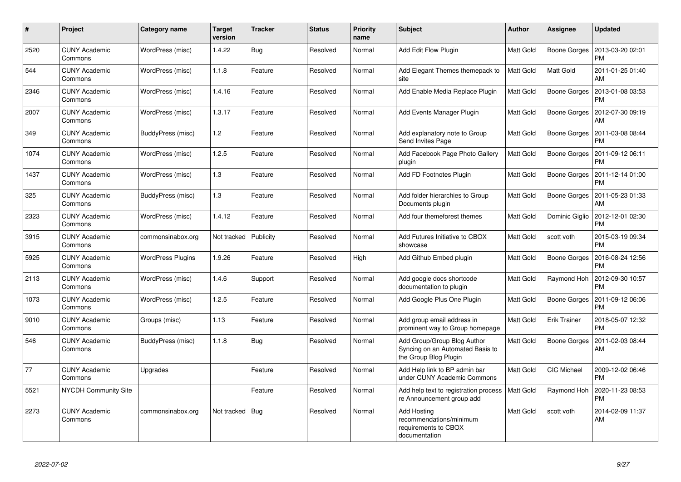| $\#$ | Project                         | Category name            | <b>Target</b><br>version | <b>Tracker</b> | <b>Status</b> | <b>Priority</b><br>name | <b>Subject</b>                                                                           | <b>Author</b>    | <b>Assignee</b>     | <b>Updated</b>                |
|------|---------------------------------|--------------------------|--------------------------|----------------|---------------|-------------------------|------------------------------------------------------------------------------------------|------------------|---------------------|-------------------------------|
| 2520 | <b>CUNY Academic</b><br>Commons | WordPress (misc)         | 1.4.22                   | Bug            | Resolved      | Normal                  | Add Edit Flow Plugin                                                                     | Matt Gold        | <b>Boone Gorges</b> | 2013-03-20 02:01<br><b>PM</b> |
| 544  | <b>CUNY Academic</b><br>Commons | WordPress (misc)         | 1.1.8                    | Feature        | Resolved      | Normal                  | Add Elegant Themes themepack to<br>site                                                  | Matt Gold        | Matt Gold           | 2011-01-25 01:40<br>AM        |
| 2346 | <b>CUNY Academic</b><br>Commons | WordPress (misc)         | 1.4.16                   | Feature        | Resolved      | Normal                  | Add Enable Media Replace Plugin                                                          | <b>Matt Gold</b> | <b>Boone Gorges</b> | 2013-01-08 03:53<br><b>PM</b> |
| 2007 | <b>CUNY Academic</b><br>Commons | WordPress (misc)         | 1.3.17                   | Feature        | Resolved      | Normal                  | Add Events Manager Plugin                                                                | Matt Gold        | Boone Gorges        | 2012-07-30 09:19<br>AM        |
| 349  | <b>CUNY Academic</b><br>Commons | BuddyPress (misc)        | 1.2                      | Feature        | Resolved      | Normal                  | Add explanatory note to Group<br>Send Invites Page                                       | Matt Gold        | Boone Gorges        | 2011-03-08 08:44<br><b>PM</b> |
| 1074 | <b>CUNY Academic</b><br>Commons | WordPress (misc)         | 1.2.5                    | Feature        | Resolved      | Normal                  | Add Facebook Page Photo Gallery<br>plugin                                                | <b>Matt Gold</b> | Boone Gorges        | 2011-09-12 06:11<br><b>PM</b> |
| 1437 | <b>CUNY Academic</b><br>Commons | WordPress (misc)         | 1.3                      | Feature        | Resolved      | Normal                  | Add FD Footnotes Plugin                                                                  | Matt Gold        | Boone Gorges        | 2011-12-14 01:00<br><b>PM</b> |
| 325  | <b>CUNY Academic</b><br>Commons | BuddyPress (misc)        | 1.3                      | Feature        | Resolved      | Normal                  | Add folder hierarchies to Group<br>Documents plugin                                      | Matt Gold        | Boone Gorges        | 2011-05-23 01:33<br>AM        |
| 2323 | <b>CUNY Academic</b><br>Commons | WordPress (misc)         | 1.4.12                   | Feature        | Resolved      | Normal                  | Add four themeforest themes                                                              | Matt Gold        | Dominic Giglio      | 2012-12-01 02:30<br><b>PM</b> |
| 3915 | <b>CUNY Academic</b><br>Commons | commonsinabox.org        | Not tracked              | Publicity      | Resolved      | Normal                  | Add Futures Initiative to CBOX<br>showcase                                               | Matt Gold        | scott voth          | 2015-03-19 09:34<br><b>PM</b> |
| 5925 | <b>CUNY Academic</b><br>Commons | <b>WordPress Plugins</b> | 1.9.26                   | Feature        | Resolved      | High                    | Add Github Embed plugin                                                                  | Matt Gold        | Boone Gorges        | 2016-08-24 12:56<br><b>PM</b> |
| 2113 | <b>CUNY Academic</b><br>Commons | WordPress (misc)         | 1.4.6                    | Support        | Resolved      | Normal                  | Add google docs shortcode<br>documentation to plugin                                     | Matt Gold        | Raymond Hoh         | 2012-09-30 10:57<br><b>PM</b> |
| 1073 | <b>CUNY Academic</b><br>Commons | WordPress (misc)         | 1.2.5                    | Feature        | Resolved      | Normal                  | Add Google Plus One Plugin                                                               | Matt Gold        | <b>Boone Gorges</b> | 2011-09-12 06:06<br><b>PM</b> |
| 9010 | <b>CUNY Academic</b><br>Commons | Groups (misc)            | 1.13                     | Feature        | Resolved      | Normal                  | Add group email address in<br>prominent way to Group homepage                            | Matt Gold        | Erik Trainer        | 2018-05-07 12:32<br><b>PM</b> |
| 546  | <b>CUNY Academic</b><br>Commons | BuddyPress (misc)        | 1.1.8                    | Bug            | Resolved      | Normal                  | Add Group/Group Blog Author<br>Syncing on an Automated Basis to<br>the Group Blog Plugin | Matt Gold        | Boone Gorges        | 2011-02-03 08:44<br>AM        |
| 77   | <b>CUNY Academic</b><br>Commons | Upgrades                 |                          | Feature        | Resolved      | Normal                  | Add Help link to BP admin bar<br>under CUNY Academic Commons                             | Matt Gold        | CIC Michael         | 2009-12-02 06:46<br><b>PM</b> |
| 5521 | <b>NYCDH Community Site</b>     |                          |                          | Feature        | Resolved      | Normal                  | Add help text to registration process<br>re Announcement group add                       | <b>Matt Gold</b> | Raymond Hoh         | 2020-11-23 08:53<br><b>PM</b> |
| 2273 | <b>CUNY Academic</b><br>Commons | commonsinabox.org        | Not tracked              | Bug            | Resolved      | Normal                  | <b>Add Hosting</b><br>recommendations/minimum<br>requirements to CBOX<br>documentation   | Matt Gold        | scott voth          | 2014-02-09 11:37<br>AM        |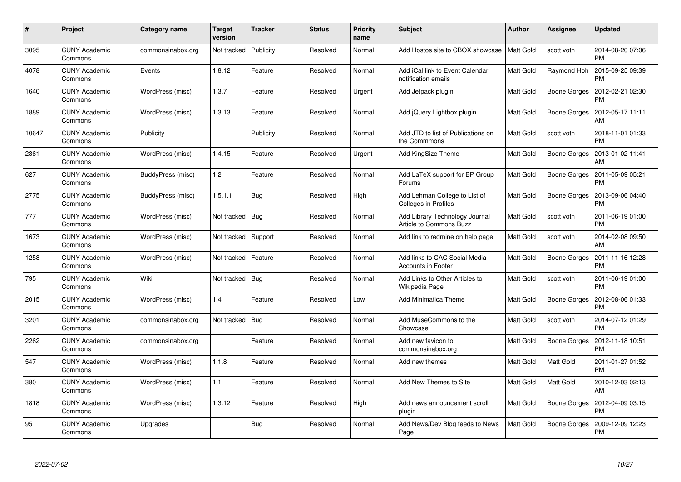| $\pmb{\#}$ | Project                         | Category name     | <b>Target</b><br>version | <b>Tracker</b> | <b>Status</b> | <b>Priority</b><br>name | <b>Subject</b>                                               | Author           | Assignee            | <b>Updated</b>                |
|------------|---------------------------------|-------------------|--------------------------|----------------|---------------|-------------------------|--------------------------------------------------------------|------------------|---------------------|-------------------------------|
| 3095       | <b>CUNY Academic</b><br>Commons | commonsinabox.org | Not tracked              | Publicity      | Resolved      | Normal                  | Add Hostos site to CBOX showcase                             | <b>Matt Gold</b> | scott voth          | 2014-08-20 07:06<br><b>PM</b> |
| 4078       | <b>CUNY Academic</b><br>Commons | Events            | 1.8.12                   | Feature        | Resolved      | Normal                  | Add iCal link to Event Calendar<br>notification emails       | Matt Gold        | Raymond Hoh         | 2015-09-25 09:39<br><b>PM</b> |
| 1640       | <b>CUNY Academic</b><br>Commons | WordPress (misc)  | 1.3.7                    | Feature        | Resolved      | Urgent                  | Add Jetpack plugin                                           | Matt Gold        | <b>Boone Gorges</b> | 2012-02-21 02:30<br><b>PM</b> |
| 1889       | <b>CUNY Academic</b><br>Commons | WordPress (misc)  | 1.3.13                   | Feature        | Resolved      | Normal                  | Add jQuery Lightbox plugin                                   | Matt Gold        | Boone Gorges        | 2012-05-17 11:11<br>AM        |
| 10647      | <b>CUNY Academic</b><br>Commons | Publicity         |                          | Publicity      | Resolved      | Normal                  | Add JTD to list of Publications on<br>the Commmons           | Matt Gold        | scott voth          | 2018-11-01 01:33<br><b>PM</b> |
| 2361       | <b>CUNY Academic</b><br>Commons | WordPress (misc)  | 1.4.15                   | Feature        | Resolved      | Urgent                  | Add KingSize Theme                                           | Matt Gold        | Boone Gorges        | 2013-01-02 11:41<br>AM        |
| 627        | <b>CUNY Academic</b><br>Commons | BuddyPress (misc) | $1.2$                    | Feature        | Resolved      | Normal                  | Add LaTeX support for BP Group<br>Forums                     | Matt Gold        | Boone Gorges        | 2011-05-09 05:21<br><b>PM</b> |
| 2775       | <b>CUNY Academic</b><br>Commons | BuddyPress (misc) | 1.5.1.1                  | <b>Bug</b>     | Resolved      | High                    | Add Lehman College to List of<br><b>Colleges in Profiles</b> | Matt Gold        | Boone Gorges        | 2013-09-06 04:40<br><b>PM</b> |
| 777        | <b>CUNY Academic</b><br>Commons | WordPress (misc)  | Not tracked              | Bug            | Resolved      | Normal                  | Add Library Technology Journal<br>Article to Commons Buzz    | Matt Gold        | scott voth          | 2011-06-19 01:00<br><b>PM</b> |
| 1673       | <b>CUNY Academic</b><br>Commons | WordPress (misc)  | Not tracked              | Support        | Resolved      | Normal                  | Add link to redmine on help page                             | Matt Gold        | scott voth          | 2014-02-08 09:50<br>AM        |
| 1258       | <b>CUNY Academic</b><br>Commons | WordPress (misc)  | Not tracked              | Feature        | Resolved      | Normal                  | Add links to CAC Social Media<br><b>Accounts in Footer</b>   | Matt Gold        | <b>Boone Gorges</b> | 2011-11-16 12:28<br><b>PM</b> |
| 795        | <b>CUNY Academic</b><br>Commons | Wiki              | Not tracked   Bug        |                | Resolved      | Normal                  | Add Links to Other Articles to<br>Wikipedia Page             | <b>Matt Gold</b> | scott voth          | 2011-06-19 01:00<br><b>PM</b> |
| 2015       | <b>CUNY Academic</b><br>Commons | WordPress (misc)  | 1.4                      | Feature        | Resolved      | Low                     | <b>Add Minimatica Theme</b>                                  | Matt Gold        | <b>Boone Gorges</b> | 2012-08-06 01:33<br><b>PM</b> |
| 3201       | <b>CUNY Academic</b><br>Commons | commonsinabox.org | Not tracked              | Bug            | Resolved      | Normal                  | Add MuseCommons to the<br>Showcase                           | Matt Gold        | scott voth          | 2014-07-12 01:29<br><b>PM</b> |
| 2262       | <b>CUNY Academic</b><br>Commons | commonsinabox.org |                          | Feature        | Resolved      | Normal                  | Add new favicon to<br>commonsinabox.org                      | Matt Gold        | Boone Gorges        | 2012-11-18 10:51<br><b>PM</b> |
| 547        | <b>CUNY Academic</b><br>Commons | WordPress (misc)  | 1.1.8                    | Feature        | Resolved      | Normal                  | Add new themes                                               | Matt Gold        | Matt Gold           | 2011-01-27 01:52<br><b>PM</b> |
| 380        | <b>CUNY Academic</b><br>Commons | WordPress (misc)  | 1.1                      | Feature        | Resolved      | Normal                  | Add New Themes to Site                                       | Matt Gold        | Matt Gold           | 2010-12-03 02:13<br>AM        |
| 1818       | <b>CUNY Academic</b><br>Commons | WordPress (misc)  | 1.3.12                   | Feature        | Resolved      | High                    | Add news announcement scroll<br>plugin                       | Matt Gold        | <b>Boone Gorges</b> | 2012-04-09 03:15<br><b>PM</b> |
| 95         | CUNY Academic<br>Commons        | Upgrades          |                          | <b>Bug</b>     | Resolved      | Normal                  | Add News/Dev Blog feeds to News<br>Page                      | Matt Gold        | Boone Gorges        | 2009-12-09 12:23<br>PM        |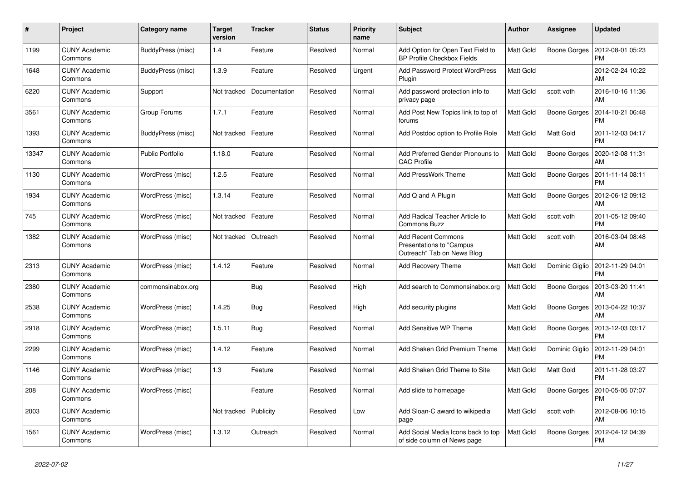| #     | Project                         | Category name           | <b>Target</b><br>version | <b>Tracker</b> | <b>Status</b> | <b>Priority</b><br>name | <b>Subject</b>                                                                      | <b>Author</b>    | Assignee       | <b>Updated</b>                                 |
|-------|---------------------------------|-------------------------|--------------------------|----------------|---------------|-------------------------|-------------------------------------------------------------------------------------|------------------|----------------|------------------------------------------------|
| 1199  | <b>CUNY Academic</b><br>Commons | BuddyPress (misc)       | 1.4                      | Feature        | Resolved      | Normal                  | Add Option for Open Text Field to<br><b>BP Profile Checkbox Fields</b>              | Matt Gold        |                | Boone Gorges   2012-08-01 05:23<br><b>PM</b>   |
| 1648  | <b>CUNY Academic</b><br>Commons | BuddyPress (misc)       | 1.3.9                    | Feature        | Resolved      | Urgent                  | <b>Add Password Protect WordPress</b><br>Plugin                                     | Matt Gold        |                | 2012-02-24 10:22<br>AM                         |
| 6220  | <b>CUNY Academic</b><br>Commons | Support                 | Not tracked              | Documentation  | Resolved      | Normal                  | Add password protection info to<br>privacy page                                     | Matt Gold        | scott voth     | 2016-10-16 11:36<br>AM                         |
| 3561  | <b>CUNY Academic</b><br>Commons | Group Forums            | 1.7.1                    | Feature        | Resolved      | Normal                  | Add Post New Topics link to top of<br>forums                                        | Matt Gold        | Boone Gorges   | 2014-10-21 06:48<br><b>PM</b>                  |
| 1393  | <b>CUNY Academic</b><br>Commons | BuddyPress (misc)       | Not tracked              | Feature        | Resolved      | Normal                  | Add Postdoc option to Profile Role                                                  | Matt Gold        | Matt Gold      | 2011-12-03 04:17<br><b>PM</b>                  |
| 13347 | <b>CUNY Academic</b><br>Commons | <b>Public Portfolio</b> | 1.18.0                   | Feature        | Resolved      | Normal                  | Add Preferred Gender Pronouns to<br><b>CAC Profile</b>                              | <b>Matt Gold</b> | Boone Gorges   | 2020-12-08 11:31<br>AM                         |
| 1130  | <b>CUNY Academic</b><br>Commons | WordPress (misc)        | 1.2.5                    | Feature        | Resolved      | Normal                  | <b>Add PressWork Theme</b>                                                          | Matt Gold        | Boone Gorges   | 2011-11-14 08:11<br><b>PM</b>                  |
| 1934  | <b>CUNY Academic</b><br>Commons | WordPress (misc)        | 1.3.14                   | Feature        | Resolved      | Normal                  | Add Q and A Plugin                                                                  | Matt Gold        | Boone Gorges   | 2012-06-12 09:12<br>AM                         |
| 745   | <b>CUNY Academic</b><br>Commons | WordPress (misc)        | Not tracked              | Feature        | Resolved      | Normal                  | Add Radical Teacher Article to<br><b>Commons Buzz</b>                               | Matt Gold        | scott voth     | 2011-05-12 09:40<br><b>PM</b>                  |
| 1382  | <b>CUNY Academic</b><br>Commons | WordPress (misc)        | Not tracked              | Outreach       | Resolved      | Normal                  | <b>Add Recent Commons</b><br>Presentations to "Campus<br>Outreach" Tab on News Blog | Matt Gold        | scott voth     | 2016-03-04 08:48<br>AM                         |
| 2313  | <b>CUNY Academic</b><br>Commons | WordPress (misc)        | 1.4.12                   | Feature        | Resolved      | Normal                  | <b>Add Recovery Theme</b>                                                           | Matt Gold        |                | Dominic Giglio   2012-11-29 04:01<br><b>PM</b> |
| 2380  | <b>CUNY Academic</b><br>Commons | commonsinabox.org       |                          | Bug            | Resolved      | High                    | Add search to Commonsinabox.org                                                     | <b>Matt Gold</b> | Boone Gorges   | 2013-03-20 11:41<br>AM                         |
| 2538  | <b>CUNY Academic</b><br>Commons | WordPress (misc)        | 1.4.25                   | <b>Bug</b>     | Resolved      | High                    | Add security plugins                                                                | Matt Gold        | Boone Gorges   | 2013-04-22 10:37<br>AM                         |
| 2918  | <b>CUNY Academic</b><br>Commons | WordPress (misc)        | 1.5.11                   | Bug            | Resolved      | Normal                  | Add Sensitive WP Theme                                                              | Matt Gold        | Boone Gorges   | 2013-12-03 03:17<br><b>PM</b>                  |
| 2299  | <b>CUNY Academic</b><br>Commons | WordPress (misc)        | 1.4.12                   | Feature        | Resolved      | Normal                  | Add Shaken Grid Premium Theme                                                       | Matt Gold        | Dominic Giglio | 2012-11-29 04:01<br><b>PM</b>                  |
| 1146  | <b>CUNY Academic</b><br>Commons | WordPress (misc)        | 1.3                      | Feature        | Resolved      | Normal                  | Add Shaken Grid Theme to Site                                                       | Matt Gold        | Matt Gold      | 2011-11-28 03:27<br><b>PM</b>                  |
| 208   | <b>CUNY Academic</b><br>Commons | WordPress (misc)        |                          | Feature        | Resolved      | Normal                  | Add slide to homepage                                                               | Matt Gold        | Boone Gorges   | 2010-05-05 07:07<br><b>PM</b>                  |
| 2003  | <b>CUNY Academic</b><br>Commons |                         | Not tracked              | Publicity      | Resolved      | Low                     | Add Sloan-C award to wikipedia<br>page                                              | Matt Gold        | scott voth     | 2012-08-06 10:15<br>AM                         |
| 1561  | <b>CUNY Academic</b><br>Commons | WordPress (misc)        | 1.3.12                   | Outreach       | Resolved      | Normal                  | Add Social Media Icons back to top<br>of side column of News page                   | Matt Gold        | Boone Gorges   | 2012-04-12 04:39<br><b>PM</b>                  |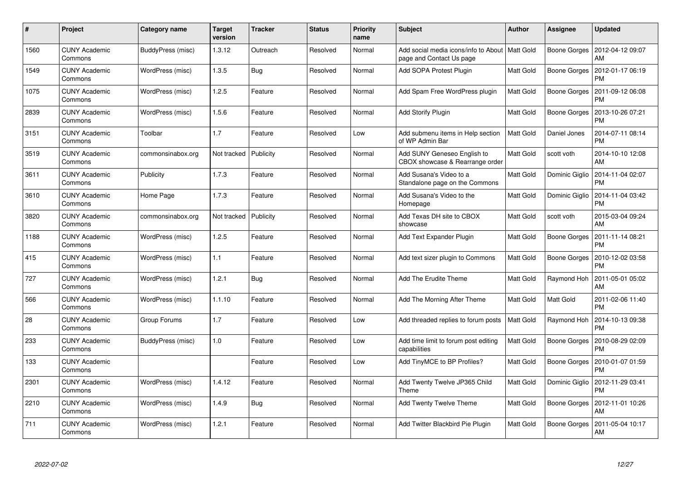| $\pmb{\#}$ | <b>Project</b>                  | Category name     | <b>Target</b><br>version | <b>Tracker</b> | <b>Status</b> | <b>Priority</b><br>name | <b>Subject</b>                                                               | Author           | Assignee            | <b>Updated</b>                |
|------------|---------------------------------|-------------------|--------------------------|----------------|---------------|-------------------------|------------------------------------------------------------------------------|------------------|---------------------|-------------------------------|
| 1560       | <b>CUNY Academic</b><br>Commons | BuddyPress (misc) | 1.3.12                   | Outreach       | Resolved      | Normal                  | Add social media icons/info to About   Matt Gold<br>page and Contact Us page |                  | Boone Gorges        | 2012-04-12 09:07<br>AM        |
| 1549       | <b>CUNY Academic</b><br>Commons | WordPress (misc)  | 1.3.5                    | Bug            | Resolved      | Normal                  | Add SOPA Protest Plugin                                                      | Matt Gold        | <b>Boone Gorges</b> | 2012-01-17 06:19<br><b>PM</b> |
| 1075       | <b>CUNY Academic</b><br>Commons | WordPress (misc)  | 1.2.5                    | Feature        | Resolved      | Normal                  | Add Spam Free WordPress plugin                                               | Matt Gold        | <b>Boone Gorges</b> | 2011-09-12 06:08<br><b>PM</b> |
| 2839       | <b>CUNY Academic</b><br>Commons | WordPress (misc)  | 1.5.6                    | Feature        | Resolved      | Normal                  | <b>Add Storify Plugin</b>                                                    | Matt Gold        | Boone Gorges        | 2013-10-26 07:21<br><b>PM</b> |
| 3151       | <b>CUNY Academic</b><br>Commons | Toolbar           | 1.7                      | Feature        | Resolved      | Low                     | Add submenu items in Help section<br>of WP Admin Bar                         | Matt Gold        | Daniel Jones        | 2014-07-11 08:14<br><b>PM</b> |
| 3519       | <b>CUNY Academic</b><br>Commons | commonsinabox.org | Not tracked              | Publicity      | Resolved      | Normal                  | Add SUNY Geneseo English to<br>CBOX showcase & Rearrange order               | Matt Gold        | scott voth          | 2014-10-10 12:08<br>AM        |
| 3611       | <b>CUNY Academic</b><br>Commons | Publicity         | 1.7.3                    | Feature        | Resolved      | Normal                  | Add Susana's Video to a<br>Standalone page on the Commons                    | Matt Gold        | Dominic Giglio      | 2014-11-04 02:07<br><b>PM</b> |
| 3610       | <b>CUNY Academic</b><br>Commons | Home Page         | 1.7.3                    | Feature        | Resolved      | Normal                  | Add Susana's Video to the<br>Homepage                                        | Matt Gold        | Dominic Giglio      | 2014-11-04 03:42<br><b>PM</b> |
| 3820       | <b>CUNY Academic</b><br>Commons | commonsinabox.org | Not tracked              | Publicity      | Resolved      | Normal                  | Add Texas DH site to CBOX<br>showcase                                        | Matt Gold        | scott voth          | 2015-03-04 09:24<br>AM        |
| 1188       | <b>CUNY Academic</b><br>Commons | WordPress (misc)  | 1.2.5                    | Feature        | Resolved      | Normal                  | Add Text Expander Plugin                                                     | Matt Gold        | <b>Boone Gorges</b> | 2011-11-14 08:21<br><b>PM</b> |
| 415        | <b>CUNY Academic</b><br>Commons | WordPress (misc)  | 1.1                      | Feature        | Resolved      | Normal                  | Add text sizer plugin to Commons                                             | Matt Gold        | <b>Boone Gorges</b> | 2010-12-02 03:58<br><b>PM</b> |
| 727        | <b>CUNY Academic</b><br>Commons | WordPress (misc)  | 1.2.1                    | <b>Bug</b>     | Resolved      | Normal                  | Add The Erudite Theme                                                        | Matt Gold        | Raymond Hoh         | 2011-05-01 05:02<br>AM        |
| 566        | <b>CUNY Academic</b><br>Commons | WordPress (misc)  | 1.1.10                   | Feature        | Resolved      | Normal                  | Add The Morning After Theme                                                  | Matt Gold        | Matt Gold           | 2011-02-06 11:40<br><b>PM</b> |
| 28         | <b>CUNY Academic</b><br>Commons | Group Forums      | 1.7                      | Feature        | Resolved      | Low                     | Add threaded replies to forum posts                                          | <b>Matt Gold</b> | Raymond Hoh         | 2014-10-13 09:38<br><b>PM</b> |
| 233        | <b>CUNY Academic</b><br>Commons | BuddyPress (misc) | 1.0                      | Feature        | Resolved      | Low                     | Add time limit to forum post editing<br>capabilities                         | Matt Gold        | Boone Gorges        | 2010-08-29 02:09<br><b>PM</b> |
| 133        | <b>CUNY Academic</b><br>Commons |                   |                          | Feature        | Resolved      | Low                     | Add TinyMCE to BP Profiles?                                                  | Matt Gold        | Boone Gorges        | 2010-01-07 01:59<br><b>PM</b> |
| 2301       | CUNY Academic<br>Commons        | WordPress (misc)  | 1.4.12                   | Feature        | Resolved      | Normal                  | Add Twenty Twelve JP365 Child<br>Theme                                       | Matt Gold        | Dominic Giglio      | 2012-11-29 03:41<br><b>PM</b> |
| 2210       | <b>CUNY Academic</b><br>Commons | WordPress (misc)  | 1.4.9                    | Bug            | Resolved      | Normal                  | Add Twenty Twelve Theme                                                      | Matt Gold        | <b>Boone Gorges</b> | 2012-11-01 10:26<br>AM        |
| 711        | CUNY Academic<br>Commons        | WordPress (misc)  | 1.2.1                    | Feature        | Resolved      | Normal                  | Add Twitter Blackbird Pie Plugin                                             | Matt Gold        | Boone Gorges        | 2011-05-04 10:17<br>AM        |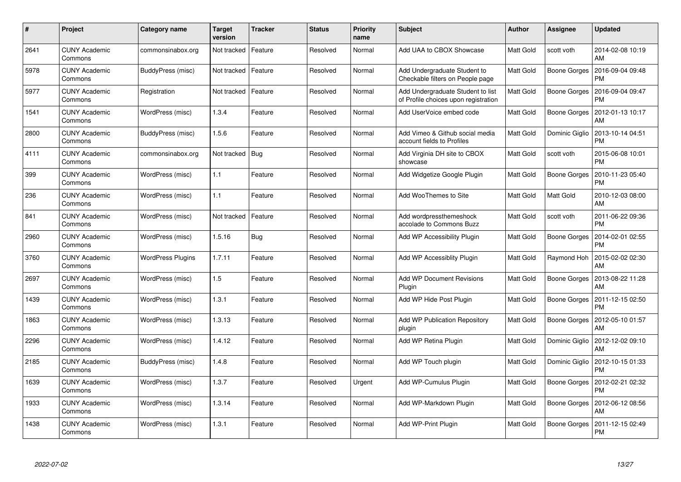| $\#$ | <b>Project</b>                  | Category name            | <b>Target</b><br>version | <b>Tracker</b> | <b>Status</b> | <b>Priority</b><br>name | <b>Subject</b>                                                            | Author    | Assignee            | <b>Updated</b>                |
|------|---------------------------------|--------------------------|--------------------------|----------------|---------------|-------------------------|---------------------------------------------------------------------------|-----------|---------------------|-------------------------------|
| 2641 | <b>CUNY Academic</b><br>Commons | commonsinabox.org        | Not tracked              | Feature        | Resolved      | Normal                  | Add UAA to CBOX Showcase                                                  | Matt Gold | scott voth          | 2014-02-08 10:19<br>AM        |
| 5978 | <b>CUNY Academic</b><br>Commons | BuddyPress (misc)        | Not tracked              | Feature        | Resolved      | Normal                  | Add Undergraduate Student to<br>Checkable filters on People page          | Matt Gold | Boone Gorges        | 2016-09-04 09:48<br><b>PM</b> |
| 5977 | <b>CUNY Academic</b><br>Commons | Registration             | Not tracked              | Feature        | Resolved      | Normal                  | Add Undergraduate Student to list<br>of Profile choices upon registration | Matt Gold | <b>Boone Gorges</b> | 2016-09-04 09:47<br><b>PM</b> |
| 1541 | CUNY Academic<br>Commons        | WordPress (misc)         | 1.3.4                    | Feature        | Resolved      | Normal                  | Add UserVoice embed code                                                  | Matt Gold | Boone Gorges        | 2012-01-13 10:17<br>AM        |
| 2800 | <b>CUNY Academic</b><br>Commons | BuddyPress (misc)        | 1.5.6                    | Feature        | Resolved      | Normal                  | Add Vimeo & Github social media<br>account fields to Profiles             | Matt Gold | Dominic Giglio      | 2013-10-14 04:51<br><b>PM</b> |
| 4111 | <b>CUNY Academic</b><br>Commons | commonsinabox.org        | Not tracked              | Bug            | Resolved      | Normal                  | Add Virginia DH site to CBOX<br>showcase                                  | Matt Gold | scott voth          | 2015-06-08 10:01<br><b>PM</b> |
| 399  | <b>CUNY Academic</b><br>Commons | WordPress (misc)         | 1.1                      | Feature        | Resolved      | Normal                  | Add Widgetize Google Plugin                                               | Matt Gold | <b>Boone Gorges</b> | 2010-11-23 05:40<br><b>PM</b> |
| 236  | <b>CUNY Academic</b><br>Commons | WordPress (misc)         | 1.1                      | Feature        | Resolved      | Normal                  | Add WooThemes to Site                                                     | Matt Gold | Matt Gold           | 2010-12-03 08:00<br>AM        |
| 841  | <b>CUNY Academic</b><br>Commons | WordPress (misc)         | Not tracked              | Feature        | Resolved      | Normal                  | Add wordpressthemeshock<br>accolade to Commons Buzz                       | Matt Gold | scott voth          | 2011-06-22 09:36<br><b>PM</b> |
| 2960 | <b>CUNY Academic</b><br>Commons | WordPress (misc)         | 1.5.16                   | <b>Bug</b>     | Resolved      | Normal                  | Add WP Accessibility Plugin                                               | Matt Gold | <b>Boone Gorges</b> | 2014-02-01 02:55<br><b>PM</b> |
| 3760 | <b>CUNY Academic</b><br>Commons | <b>WordPress Plugins</b> | 1.7.11                   | Feature        | Resolved      | Normal                  | Add WP Accessiblity Plugin                                                | Matt Gold | Raymond Hoh         | 2015-02-02 02:30<br>AM        |
| 2697 | <b>CUNY Academic</b><br>Commons | WordPress (misc)         | 1.5                      | Feature        | Resolved      | Normal                  | <b>Add WP Document Revisions</b><br>Plugin                                | Matt Gold | Boone Gorges        | 2013-08-22 11:28<br>AM        |
| 1439 | <b>CUNY Academic</b><br>Commons | WordPress (misc)         | 1.3.1                    | Feature        | Resolved      | Normal                  | Add WP Hide Post Plugin                                                   | Matt Gold | Boone Gorges        | 2011-12-15 02:50<br><b>PM</b> |
| 1863 | <b>CUNY Academic</b><br>Commons | WordPress (misc)         | 1.3.13                   | Feature        | Resolved      | Normal                  | Add WP Publication Repository<br>plugin                                   | Matt Gold | <b>Boone Gorges</b> | 2012-05-10 01:57<br>AM        |
| 2296 | <b>CUNY Academic</b><br>Commons | WordPress (misc)         | 1.4.12                   | Feature        | Resolved      | Normal                  | Add WP Retina Plugin                                                      | Matt Gold | Dominic Giglio      | 2012-12-02 09:10<br>AM        |
| 2185 | <b>CUNY Academic</b><br>Commons | BuddyPress (misc)        | 1.4.8                    | Feature        | Resolved      | Normal                  | Add WP Touch plugin                                                       | Matt Gold | Dominic Giglio      | 2012-10-15 01:33<br><b>PM</b> |
| 1639 | <b>CUNY Academic</b><br>Commons | WordPress (misc)         | 1.3.7                    | Feature        | Resolved      | Urgent                  | Add WP-Cumulus Plugin                                                     | Matt Gold | Boone Gorges        | 2012-02-21 02:32<br><b>PM</b> |
| 1933 | <b>CUNY Academic</b><br>Commons | WordPress (misc)         | 1.3.14                   | Feature        | Resolved      | Normal                  | Add WP-Markdown Plugin                                                    | Matt Gold | <b>Boone Gorges</b> | 2012-06-12 08:56<br>AM        |
| 1438 | CUNY Academic<br>Commons        | WordPress (misc)         | 1.3.1                    | Feature        | Resolved      | Normal                  | Add WP-Print Plugin                                                       | Matt Gold | Boone Gorges        | 2011-12-15 02:49<br>PM        |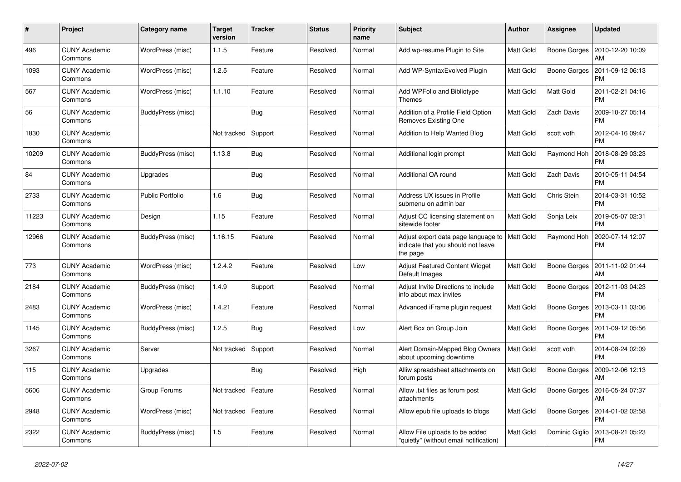| $\#$  | Project                         | Category name           | <b>Target</b><br>version | <b>Tracker</b> | <b>Status</b> | Priority<br>name | <b>Subject</b>                                                                        | <b>Author</b>    | <b>Assignee</b>     | <b>Updated</b>                |
|-------|---------------------------------|-------------------------|--------------------------|----------------|---------------|------------------|---------------------------------------------------------------------------------------|------------------|---------------------|-------------------------------|
| 496   | <b>CUNY Academic</b><br>Commons | WordPress (misc)        | 1.1.5                    | Feature        | Resolved      | Normal           | Add wp-resume Plugin to Site                                                          | Matt Gold        | Boone Gorges        | 2010-12-20 10:09<br>AM        |
| 1093  | <b>CUNY Academic</b><br>Commons | WordPress (misc)        | 1.2.5                    | Feature        | Resolved      | Normal           | Add WP-SyntaxEvolved Plugin                                                           | Matt Gold        | <b>Boone Gorges</b> | 2011-09-12 06:13<br><b>PM</b> |
| 567   | <b>CUNY Academic</b><br>Commons | WordPress (misc)        | 1.1.10                   | Feature        | Resolved      | Normal           | Add WPFolio and Bibliotype<br><b>Themes</b>                                           | Matt Gold        | Matt Gold           | 2011-02-21 04:16<br><b>PM</b> |
| 56    | <b>CUNY Academic</b><br>Commons | BuddyPress (misc)       |                          | <b>Bug</b>     | Resolved      | Normal           | Addition of a Profile Field Option<br>Removes Existing One                            | Matt Gold        | Zach Davis          | 2009-10-27 05:14<br><b>PM</b> |
| 1830  | <b>CUNY Academic</b><br>Commons |                         | Not tracked              | Support        | Resolved      | Normal           | Addition to Help Wanted Blog                                                          | Matt Gold        | scott voth          | 2012-04-16 09:47<br><b>PM</b> |
| 10209 | <b>CUNY Academic</b><br>Commons | BuddyPress (misc)       | 1.13.8                   | <b>Bug</b>     | Resolved      | Normal           | Additional login prompt                                                               | Matt Gold        | Raymond Hor         | 2018-08-29 03:23<br><b>PM</b> |
| 84    | <b>CUNY Academic</b><br>Commons | Upgrades                |                          | Bug            | Resolved      | Normal           | Additional QA round                                                                   | Matt Gold        | Zach Davis          | 2010-05-11 04:54<br><b>PM</b> |
| 2733  | <b>CUNY Academic</b><br>Commons | <b>Public Portfolio</b> | 1.6                      | Bug            | Resolved      | Normal           | Address UX issues in Profile<br>submenu on admin bar                                  | Matt Gold        | Chris Stein         | 2014-03-31 10:52<br><b>PM</b> |
| 11223 | <b>CUNY Academic</b><br>Commons | Design                  | 1.15                     | Feature        | Resolved      | Normal           | Adjust CC licensing statement on<br>sitewide footer                                   | Matt Gold        | Sonja Leix          | 2019-05-07 02:31<br><b>PM</b> |
| 12966 | <b>CUNY Academic</b><br>Commons | BuddyPress (misc)       | 1.16.15                  | Feature        | Resolved      | Normal           | Adjust export data page language to<br>indicate that you should not leave<br>the page | Matt Gold        | Raymond Hoh         | 2020-07-14 12:07<br><b>PM</b> |
| 773   | <b>CUNY Academic</b><br>Commons | WordPress (misc)        | 1.2.4.2                  | Feature        | Resolved      | Low              | <b>Adjust Featured Content Widget</b><br>Default Images                               | Matt Gold        | Boone Gorges        | 2011-11-02 01:44<br>AM        |
| 2184  | <b>CUNY Academic</b><br>Commons | BuddyPress (misc)       | 1.4.9                    | Support        | Resolved      | Normal           | Adjust Invite Directions to include<br>info about max invites                         | Matt Gold        | Boone Gorges        | 2012-11-03 04:23<br><b>PM</b> |
| 2483  | <b>CUNY Academic</b><br>Commons | WordPress (misc)        | 1.4.21                   | Feature        | Resolved      | Normal           | Advanced iFrame plugin request                                                        | Matt Gold        | <b>Boone Gorges</b> | 2013-03-11 03:06<br><b>PM</b> |
| 1145  | <b>CUNY Academic</b><br>Commons | BuddyPress (misc)       | 1.2.5                    | Bug            | Resolved      | Low              | Alert Box on Group Join                                                               | Matt Gold        | Boone Gorges        | 2011-09-12 05:56<br><b>PM</b> |
| 3267  | <b>CUNY Academic</b><br>Commons | Server                  | Not tracked              | Support        | Resolved      | Normal           | Alert Domain-Mapped Blog Owners<br>about upcoming downtime                            | <b>Matt Gold</b> | scott voth          | 2014-08-24 02:09<br><b>PM</b> |
| 115   | <b>CUNY Academic</b><br>Commons | Upgrades                |                          | Bug            | Resolved      | High             | Alliw spreadsheet attachments on<br>forum posts                                       | Matt Gold        | <b>Boone Gorges</b> | 2009-12-06 12:13<br>AM        |
| 5606  | <b>CUNY Academic</b><br>Commons | Group Forums            | Not tracked              | Feature        | Resolved      | Normal           | Allow .txt files as forum post<br>attachments                                         | Matt Gold        | Boone Gorges        | 2016-05-24 07:37<br>AM        |
| 2948  | <b>CUNY Academic</b><br>Commons | WordPress (misc)        | Not tracked              | Feature        | Resolved      | Normal           | Allow epub file uploads to blogs                                                      | Matt Gold        | Boone Gorges        | 2014-01-02 02:58<br><b>PM</b> |
| 2322  | <b>CUNY Academic</b><br>Commons | BuddyPress (misc)       | 1.5                      | Feature        | Resolved      | Normal           | Allow File uploads to be added<br>"quietly" (without email notification)              | Matt Gold        | Dominic Giglio      | 2013-08-21 05:23<br><b>PM</b> |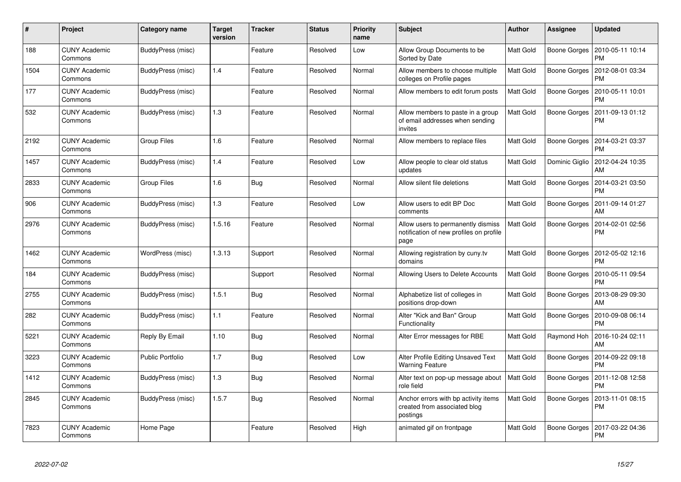| $\#$ | Project                         | Category name            | <b>Target</b><br>version | <b>Tracker</b> | <b>Status</b> | <b>Priority</b><br>name | <b>Subject</b>                                                                        | Author           | Assignee            | <b>Updated</b>                |
|------|---------------------------------|--------------------------|--------------------------|----------------|---------------|-------------------------|---------------------------------------------------------------------------------------|------------------|---------------------|-------------------------------|
| 188  | <b>CUNY Academic</b><br>Commons | BuddyPress (misc)        |                          | Feature        | Resolved      | Low                     | Allow Group Documents to be<br>Sorted by Date                                         | Matt Gold        | Boone Gorges        | 2010-05-11 10:14<br><b>PM</b> |
| 1504 | <b>CUNY Academic</b><br>Commons | BuddyPress (misc)        | 1.4                      | Feature        | Resolved      | Normal                  | Allow members to choose multiple<br>colleges on Profile pages                         | Matt Gold        | <b>Boone Gorges</b> | 2012-08-01 03:34<br><b>PM</b> |
| 177  | <b>CUNY Academic</b><br>Commons | BuddyPress (misc)        |                          | Feature        | Resolved      | Normal                  | Allow members to edit forum posts                                                     | Matt Gold        | Boone Gorges        | 2010-05-11 10:01<br><b>PM</b> |
| 532  | <b>CUNY Academic</b><br>Commons | BuddyPress (misc)        | 1.3                      | Feature        | Resolved      | Normal                  | Allow members to paste in a group<br>of email addresses when sending<br>invites       | Matt Gold        | <b>Boone Gorges</b> | 2011-09-13 01:12<br><b>PM</b> |
| 2192 | CUNY Academic<br>Commons        | Group Files              | 1.6                      | Feature        | Resolved      | Normal                  | Allow members to replace files                                                        | Matt Gold        | Boone Gorges        | 2014-03-21 03:37<br><b>PM</b> |
| 1457 | <b>CUNY Academic</b><br>Commons | BuddyPress (misc)        | 1.4                      | Feature        | Resolved      | Low                     | Allow people to clear old status<br>updates                                           | Matt Gold        | Dominic Giglio      | 2012-04-24 10:35<br>AM        |
| 2833 | <b>CUNY Academic</b><br>Commons | Group Files              | 1.6                      | Bug            | Resolved      | Normal                  | Allow silent file deletions                                                           | Matt Gold        | Boone Gorges        | 2014-03-21 03:50<br><b>PM</b> |
| 906  | <b>CUNY Academic</b><br>Commons | <b>BuddyPress (misc)</b> | 1.3                      | Feature        | Resolved      | Low                     | Allow users to edit BP Doc<br>comments                                                | Matt Gold        | <b>Boone Gorges</b> | 2011-09-14 01:27<br>AM        |
| 2976 | <b>CUNY Academic</b><br>Commons | BuddyPress (misc)        | 1.5.16                   | Feature        | Resolved      | Normal                  | Allow users to permanently dismiss<br>notification of new profiles on profile<br>page | Matt Gold        | Boone Gorges        | 2014-02-01 02:56<br><b>PM</b> |
| 1462 | CUNY Academic<br>Commons        | WordPress (misc)         | 1.3.13                   | Support        | Resolved      | Normal                  | Allowing registration by cuny.tv<br>domains                                           | Matt Gold        | Boone Gorges        | 2012-05-02 12:16<br><b>PM</b> |
| 184  | <b>CUNY Academic</b><br>Commons | BuddyPress (misc)        |                          | Support        | Resolved      | Normal                  | Allowing Users to Delete Accounts                                                     | Matt Gold        | Boone Gorges        | 2010-05-11 09:54<br><b>PM</b> |
| 2755 | <b>CUNY Academic</b><br>Commons | BuddyPress (misc)        | 1.5.1                    | Bug            | Resolved      | Normal                  | Alphabetize list of colleges in<br>positions drop-down                                | Matt Gold        | <b>Boone Gorges</b> | 2013-08-29 09:30<br>AM        |
| 282  | <b>CUNY Academic</b><br>Commons | BuddyPress (misc)        | 1.1                      | Feature        | Resolved      | Normal                  | Alter "Kick and Ban" Group<br>Functionality                                           | Matt Gold        | <b>Boone Gorges</b> | 2010-09-08 06:14<br><b>PM</b> |
| 5221 | <b>CUNY Academic</b><br>Commons | Reply By Email           | 1.10                     | <b>Bug</b>     | Resolved      | Normal                  | Alter Error messages for RBE                                                          | Matt Gold        | Raymond Hoh         | 2016-10-24 02:11<br>AM        |
| 3223 | <b>CUNY Academic</b><br>Commons | <b>Public Portfolio</b>  | 1.7                      | <b>Bug</b>     | Resolved      | Low                     | Alter Profile Editing Unsaved Text<br><b>Warning Feature</b>                          | Matt Gold        | Boone Gorges        | 2014-09-22 09:18<br><b>PM</b> |
| 1412 | <b>CUNY Academic</b><br>Commons | BuddyPress (misc)        | 1.3                      | Bug            | Resolved      | Normal                  | Alter text on pop-up message about<br>role field                                      | <b>Matt Gold</b> | Boone Gorges        | 2011-12-08 12:58<br><b>PM</b> |
| 2845 | CUNY Academic<br>Commons        | BuddyPress (misc)        | 1.5.7                    | Bug            | Resolved      | Normal                  | Anchor errors with bp activity items<br>created from associated blog<br>postings      | Matt Gold        | Boone Gorges        | 2013-11-01 08:15<br><b>PM</b> |
| 7823 | <b>CUNY Academic</b><br>Commons | Home Page                |                          | Feature        | Resolved      | High                    | animated gif on frontpage                                                             | Matt Gold        | Boone Gorges        | 2017-03-22 04:36<br><b>PM</b> |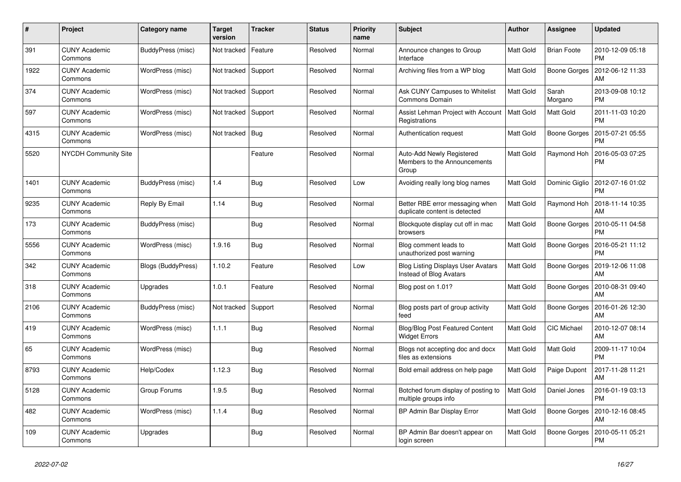| $\#$ | Project                         | Category name      | <b>Target</b><br>version | <b>Tracker</b> | <b>Status</b> | Priority<br>name | <b>Subject</b>                                                       | <b>Author</b>    | <b>Assignee</b>     | <b>Updated</b>                |
|------|---------------------------------|--------------------|--------------------------|----------------|---------------|------------------|----------------------------------------------------------------------|------------------|---------------------|-------------------------------|
| 391  | <b>CUNY Academic</b><br>Commons | BuddyPress (misc)  | Not tracked              | Feature        | Resolved      | Normal           | Announce changes to Group<br>Interface                               | Matt Gold        | <b>Brian Foote</b>  | 2010-12-09 05:18<br><b>PM</b> |
| 1922 | <b>CUNY Academic</b><br>Commons | WordPress (misc)   | Not tracked              | Support        | Resolved      | Normal           | Archiving files from a WP blog                                       | Matt Gold        | <b>Boone Gorges</b> | 2012-06-12 11:33<br>AM        |
| 374  | <b>CUNY Academic</b><br>Commons | WordPress (misc)   | Not tracked              | Support        | Resolved      | Normal           | Ask CUNY Campuses to Whitelist<br>Commons Domain                     | Matt Gold        | Sarah<br>Morgano    | 2013-09-08 10:12<br><b>PM</b> |
| 597  | <b>CUNY Academic</b><br>Commons | WordPress (misc)   | Not tracked              | Support        | Resolved      | Normal           | Assist Lehman Project with Account<br>Registrations                  | <b>Matt Gold</b> | Matt Gold           | 2011-11-03 10:20<br><b>PM</b> |
| 4315 | <b>CUNY Academic</b><br>Commons | WordPress (misc)   | Not tracked              | Bug            | Resolved      | Normal           | Authentication request                                               | Matt Gold        | <b>Boone Gorges</b> | 2015-07-21 05:55<br><b>PM</b> |
| 5520 | NYCDH Community Site            |                    |                          | Feature        | Resolved      | Normal           | Auto-Add Newly Registered<br>Members to the Announcements<br>Group   | Matt Gold        | Raymond Hoh         | 2016-05-03 07:25<br><b>PM</b> |
| 1401 | <b>CUNY Academic</b><br>Commons | BuddyPress (misc)  | 1.4                      | Bug            | Resolved      | Low              | Avoiding really long blog names                                      | Matt Gold        | Dominic Giglio      | 2012-07-16 01:02<br><b>PM</b> |
| 9235 | <b>CUNY Academic</b><br>Commons | Reply By Email     | 1.14                     | Bug            | Resolved      | Normal           | Better RBE error messaging when<br>duplicate content is detected     | Matt Gold        | Raymond Hoh         | 2018-11-14 10:35<br>AM        |
| 173  | <b>CUNY Academic</b><br>Commons | BuddyPress (misc)  |                          | Bug            | Resolved      | Normal           | Blockquote display cut off in mac<br>browsers                        | Matt Gold        | Boone Gorges        | 2010-05-11 04:58<br><b>PM</b> |
| 5556 | <b>CUNY Academic</b><br>Commons | WordPress (misc)   | 1.9.16                   | <b>Bug</b>     | Resolved      | Normal           | Blog comment leads to<br>unauthorized post warning                   | Matt Gold        | Boone Gorges        | 2016-05-21 11:12<br><b>PM</b> |
| 342  | <b>CUNY Academic</b><br>Commons | Blogs (BuddyPress) | 1.10.2                   | Feature        | Resolved      | Low              | <b>Blog Listing Displays User Avatars</b><br>Instead of Blog Avatars | Matt Gold        | Boone Gorges        | 2019-12-06 11:08<br>AM        |
| 318  | <b>CUNY Academic</b><br>Commons | Upgrades           | 1.0.1                    | Feature        | Resolved      | Normal           | Blog post on 1.01?                                                   | Matt Gold        | Boone Gorges        | 2010-08-31 09:40<br>AM        |
| 2106 | <b>CUNY Academic</b><br>Commons | BuddyPress (misc)  | Not tracked              | Support        | Resolved      | Normal           | Blog posts part of group activity<br>feed                            | Matt Gold        | <b>Boone Gorges</b> | 2016-01-26 12:30<br>AM        |
| 419  | <b>CUNY Academic</b><br>Commons | WordPress (misc)   | 1.1.1                    | <b>Bug</b>     | Resolved      | Normal           | Blog/Blog Post Featured Content<br><b>Widget Errors</b>              | Matt Gold        | CIC Michael         | 2010-12-07 08:14<br>AM        |
| 65   | <b>CUNY Academic</b><br>Commons | WordPress (misc)   |                          | Bug            | Resolved      | Normal           | Blogs not accepting doc and docx<br>files as extensions              | <b>Matt Gold</b> | <b>Matt Gold</b>    | 2009-11-17 10:04<br><b>PM</b> |
| 8793 | <b>CUNY Academic</b><br>Commons | Help/Codex         | 1.12.3                   | Bug            | Resolved      | Normal           | Bold email address on help page                                      | Matt Gold        | Paige Dupont        | 2017-11-28 11:21<br>AM        |
| 5128 | <b>CUNY Academic</b><br>Commons | Group Forums       | 1.9.5                    | <b>Bug</b>     | Resolved      | Normal           | Botched forum display of posting to<br>multiple groups info          | Matt Gold        | Daniel Jones        | 2016-01-19 03:13<br><b>PM</b> |
| 482  | <b>CUNY Academic</b><br>Commons | WordPress (misc)   | 1.1.4                    | <b>Bug</b>     | Resolved      | Normal           | BP Admin Bar Display Error                                           | Matt Gold        | Boone Gorges        | 2010-12-16 08:45<br>AM        |
| 109  | <b>CUNY Academic</b><br>Commons | Upgrades           |                          | Bug            | Resolved      | Normal           | BP Admin Bar doesn't appear on<br>login screen                       | Matt Gold        | Boone Gorges        | 2010-05-11 05:21<br><b>PM</b> |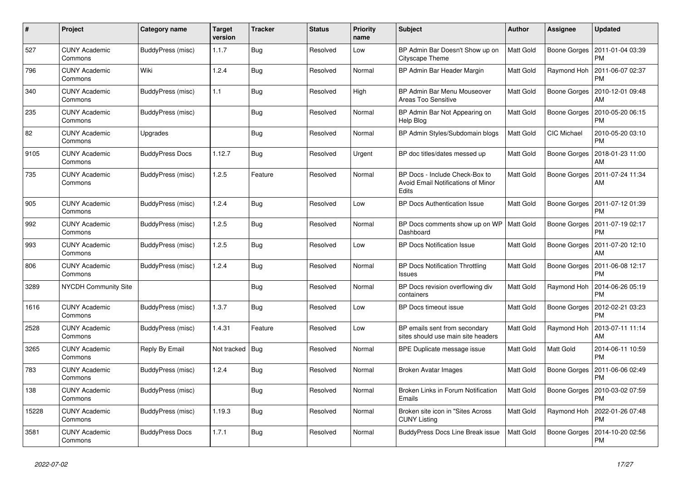| #     | Project                         | Category name          | <b>Target</b><br>version | <b>Tracker</b> | <b>Status</b> | Priority<br>name | <b>Subject</b>                                                                | <b>Author</b> | <b>Assignee</b>     | <b>Updated</b>                |
|-------|---------------------------------|------------------------|--------------------------|----------------|---------------|------------------|-------------------------------------------------------------------------------|---------------|---------------------|-------------------------------|
| 527   | <b>CUNY Academic</b><br>Commons | BuddyPress (misc)      | 1.1.7                    | Bug            | Resolved      | Low              | BP Admin Bar Doesn't Show up on<br>Cityscape Theme                            | Matt Gold     | Boone Gorges        | 2011-01-04 03:39<br><b>PM</b> |
| 796   | <b>CUNY Academic</b><br>Commons | Wiki                   | 1.2.4                    | Bug            | Resolved      | Normal           | BP Admin Bar Header Margin                                                    | Matt Gold     | Raymond Hoh         | 2011-06-07 02:37<br><b>PM</b> |
| 340   | <b>CUNY Academic</b><br>Commons | BuddyPress (misc)      | 1.1                      | Bug            | Resolved      | High             | BP Admin Bar Menu Mouseover<br><b>Areas Too Sensitive</b>                     | Matt Gold     | Boone Gorges        | 2010-12-01 09:48<br>AM        |
| 235   | <b>CUNY Academic</b><br>Commons | BuddyPress (misc)      |                          | <b>Bug</b>     | Resolved      | Normal           | BP Admin Bar Not Appearing on<br>Help Blog                                    | Matt Gold     | Boone Gorges        | 2010-05-20 06:15<br><b>PM</b> |
| 82    | <b>CUNY Academic</b><br>Commons | Upgrades               |                          | Bug            | Resolved      | Normal           | BP Admin Styles/Subdomain blogs                                               | Matt Gold     | CIC Michael         | 2010-05-20 03:10<br><b>PM</b> |
| 9105  | <b>CUNY Academic</b><br>Commons | <b>BuddyPress Docs</b> | 1.12.7                   | <b>Bug</b>     | Resolved      | Urgent           | BP doc titles/dates messed up                                                 | Matt Gold     | Boone Gorges        | 2018-01-23 11:00<br>AM        |
| 735   | <b>CUNY Academic</b><br>Commons | BuddyPress (misc)      | 1.2.5                    | Feature        | Resolved      | Normal           | BP Docs - Include Check-Box to<br>Avoid Email Notifications of Minor<br>Edits | Matt Gold     | Boone Gorges        | 2011-07-24 11:34<br>AM        |
| 905   | <b>CUNY Academic</b><br>Commons | BuddyPress (misc)      | 1.2.4                    | <b>Bug</b>     | Resolved      | Low              | BP Docs Authentication Issue                                                  | Matt Gold     | Boone Gorges        | 2011-07-12 01:39<br><b>PM</b> |
| 992   | <b>CUNY Academic</b><br>Commons | BuddyPress (misc)      | 1.2.5                    | Bug            | Resolved      | Normal           | BP Docs comments show up on WP<br>Dashboard                                   | Matt Gold     | Boone Gorges        | 2011-07-19 02:17<br><b>PM</b> |
| 993   | <b>CUNY Academic</b><br>Commons | BuddyPress (misc)      | 1.2.5                    | Bug            | Resolved      | Low              | <b>BP Docs Notification Issue</b>                                             | Matt Gold     | <b>Boone Gorges</b> | 2011-07-20 12:10<br>AM        |
| 806   | <b>CUNY Academic</b><br>Commons | BuddyPress (misc)      | 1.2.4                    | <b>Bug</b>     | Resolved      | Normal           | <b>BP Docs Notification Throttling</b><br><b>Issues</b>                       | Matt Gold     | Boone Gorges        | 2011-06-08 12:17<br><b>PM</b> |
| 3289  | NYCDH Community Site            |                        |                          | <b>Bug</b>     | Resolved      | Normal           | BP Docs revision overflowing div<br>containers                                | Matt Gold     | Raymond Hoh         | 2014-06-26 05:19<br><b>PM</b> |
| 1616  | <b>CUNY Academic</b><br>Commons | BuddyPress (misc)      | 1.3.7                    | Bug            | Resolved      | Low              | BP Docs timeout issue                                                         | Matt Gold     | <b>Boone Gorges</b> | 2012-02-21 03:23<br><b>PM</b> |
| 2528  | <b>CUNY Academic</b><br>Commons | BuddyPress (misc)      | 1.4.31                   | Feature        | Resolved      | Low              | BP emails sent from secondary<br>sites should use main site headers           | Matt Gold     | Raymond Hoh         | 2013-07-11 11:14<br>AM        |
| 3265  | <b>CUNY Academic</b><br>Commons | Reply By Email         | Not tracked   Bug        |                | Resolved      | Normal           | BPE Duplicate message issue                                                   | Matt Gold     | Matt Gold           | 2014-06-11 10:59<br><b>PM</b> |
| 783   | <b>CUNY Academic</b><br>Commons | BuddyPress (misc)      | 1.2.4                    | Bug            | Resolved      | Normal           | <b>Broken Avatar Images</b>                                                   | Matt Gold     | <b>Boone Gorges</b> | 2011-06-06 02:49<br><b>PM</b> |
| 138   | <b>CUNY Academic</b><br>Commons | BuddyPress (misc)      |                          | <b>Bug</b>     | Resolved      | Normal           | Broken Links in Forum Notification<br>Emails                                  | Matt Gold     | Boone Gorges        | 2010-03-02 07:59<br><b>PM</b> |
| 15228 | <b>CUNY Academic</b><br>Commons | BuddyPress (misc)      | 1.19.3                   | Bug            | Resolved      | Normal           | Broken site icon in "Sites Across<br><b>CUNY Listing</b>                      | Matt Gold     | Raymond Hoh         | 2022-01-26 07:48<br><b>PM</b> |
| 3581  | <b>CUNY Academic</b><br>Commons | <b>BuddyPress Docs</b> | 1.7.1                    | Bug            | Resolved      | Normal           | BuddyPress Docs Line Break issue                                              | Matt Gold     | Boone Gorges        | 2014-10-20 02:56<br><b>PM</b> |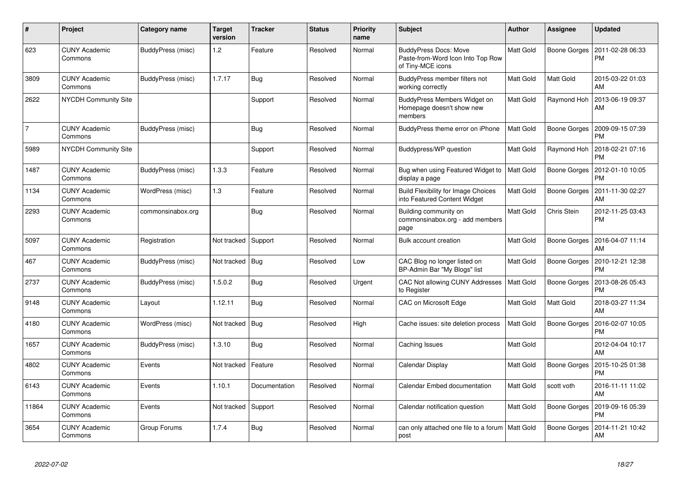| $\pmb{\#}$     | <b>Project</b>                  | Category name     | <b>Target</b><br>version | <b>Tracker</b> | <b>Status</b> | <b>Priority</b><br>name | <b>Subject</b>                                                                         | <b>Author</b>    | <b>Assignee</b>     | <b>Updated</b>                |
|----------------|---------------------------------|-------------------|--------------------------|----------------|---------------|-------------------------|----------------------------------------------------------------------------------------|------------------|---------------------|-------------------------------|
| 623            | <b>CUNY Academic</b><br>Commons | BuddyPress (misc) | 1.2                      | Feature        | Resolved      | Normal                  | <b>BuddyPress Docs: Move</b><br>Paste-from-Word Icon Into Top Row<br>of Tiny-MCE icons | Matt Gold        | Boone Gorges        | 2011-02-28 06:33<br><b>PM</b> |
| 3809           | <b>CUNY Academic</b><br>Commons | BuddyPress (misc) | 1.7.17                   | Bug            | Resolved      | Normal                  | BuddyPress member filters not<br>working correctly                                     | <b>Matt Gold</b> | Matt Gold           | 2015-03-22 01:03<br>AM        |
| 2622           | <b>NYCDH Community Site</b>     |                   |                          | Support        | Resolved      | Normal                  | BuddyPress Members Widget on<br>Homepage doesn't show new<br>members                   | Matt Gold        | Raymond Hoh         | 2013-06-19 09:37<br>AM        |
| $\overline{7}$ | <b>CUNY Academic</b><br>Commons | BuddyPress (misc) |                          | Bug            | Resolved      | Normal                  | BuddyPress theme error on iPhone                                                       | Matt Gold        | Boone Gorges        | 2009-09-15 07:39<br><b>PM</b> |
| 5989           | <b>NYCDH Community Site</b>     |                   |                          | Support        | Resolved      | Normal                  | Buddypress/WP question                                                                 | Matt Gold        | Raymond Hoh         | 2018-02-21 07:16<br><b>PM</b> |
| 1487           | <b>CUNY Academic</b><br>Commons | BuddyPress (misc) | 1.3.3                    | Feature        | Resolved      | Normal                  | Bug when using Featured Widget to<br>display a page                                    | Matt Gold        | <b>Boone Gorges</b> | 2012-01-10 10:05<br><b>PM</b> |
| 1134           | <b>CUNY Academic</b><br>Commons | WordPress (misc)  | 1.3                      | Feature        | Resolved      | Normal                  | <b>Build Flexibility for Image Choices</b><br>into Featured Content Widget             | <b>Matt Gold</b> | Boone Gorges        | 2011-11-30 02:27<br>AM        |
| 2293           | <b>CUNY Academic</b><br>Commons | commonsinabox.org |                          | Bug            | Resolved      | Normal                  | Building community on<br>commonsinabox.org - add members<br>page                       | Matt Gold        | Chris Stein         | 2012-11-25 03:43<br><b>PM</b> |
| 5097           | <b>CUNY Academic</b><br>Commons | Registration      | Not tracked              | Support        | Resolved      | Normal                  | Bulk account creation                                                                  | Matt Gold        | Boone Gorges        | 2016-04-07 11:14<br>AM        |
| 467            | <b>CUNY Academic</b><br>Commons | BuddyPress (misc) | Not tracked              | Bug            | Resolved      | Low                     | CAC Blog no longer listed on<br>BP-Admin Bar "My Blogs" list                           | Matt Gold        | Boone Gorges        | 2010-12-21 12:38<br><b>PM</b> |
| 2737           | <b>CUNY Academic</b><br>Commons | BuddyPress (misc) | 1.5.0.2                  | Bug            | Resolved      | Urgent                  | CAC Not allowing CUNY Addresses<br>to Register                                         | Matt Gold        | <b>Boone Gorges</b> | 2013-08-26 05:43<br><b>PM</b> |
| 9148           | <b>CUNY Academic</b><br>Commons | Layout            | 1.12.11                  | Bug            | Resolved      | Normal                  | CAC on Microsoft Edge                                                                  | <b>Matt Gold</b> | Matt Gold           | 2018-03-27 11:34<br>AM        |
| 4180           | <b>CUNY Academic</b><br>Commons | WordPress (misc)  | Not tracked              | Bug            | Resolved      | High                    | Cache issues: site deletion process                                                    | Matt Gold        | <b>Boone Gorges</b> | 2016-02-07 10:05<br><b>PM</b> |
| 1657           | <b>CUNY Academic</b><br>Commons | BuddyPress (misc) | 1.3.10                   | Bug            | Resolved      | Normal                  | Caching Issues                                                                         | Matt Gold        |                     | 2012-04-04 10:17<br>AM        |
| 4802           | <b>CUNY Academic</b><br>Commons | Events            | Not tracked              | Feature        | Resolved      | Normal                  | Calendar Display                                                                       | Matt Gold        | Boone Gorges        | 2015-10-25 01:38<br><b>PM</b> |
| 6143           | <b>CUNY Academic</b><br>Commons | Events            | 1.10.1                   | Documentation  | Resolved      | Normal                  | Calendar Embed documentation                                                           | Matt Gold        | scott voth          | 2016-11-11 11:02<br>AM        |
| 11864          | <b>CUNY Academic</b><br>Commons | Events            | Not tracked              | Support        | Resolved      | Normal                  | Calendar notification question                                                         | Matt Gold        | <b>Boone Gorges</b> | 2019-09-16 05:39<br><b>PM</b> |
| 3654           | CUNY Academic<br>Commons        | Group Forums      | 1.7.4                    | <b>Bug</b>     | Resolved      | Normal                  | can only attached one file to a forum<br>post                                          | Matt Gold        | Boone Gorges        | 2014-11-21 10:42<br>AM        |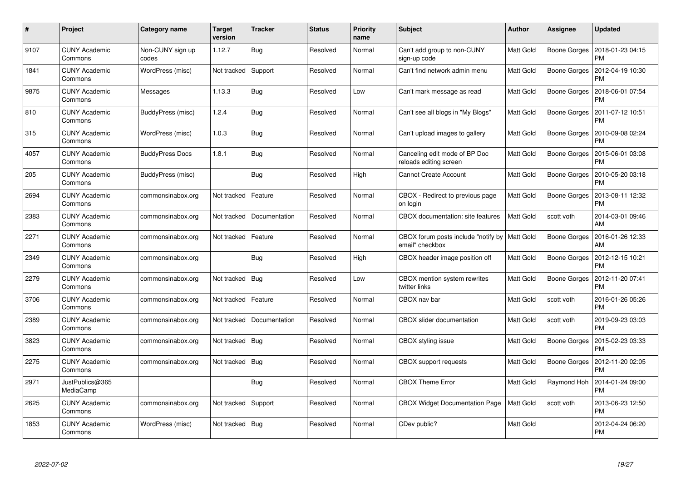| #    | Project                         | Category name             | <b>Target</b><br>version | <b>Tracker</b> | <b>Status</b> | <b>Priority</b><br>name | <b>Subject</b>                                                     | <b>Author</b> | <b>Assignee</b> | <b>Updated</b>                |
|------|---------------------------------|---------------------------|--------------------------|----------------|---------------|-------------------------|--------------------------------------------------------------------|---------------|-----------------|-------------------------------|
| 9107 | <b>CUNY Academic</b><br>Commons | Non-CUNY sign up<br>codes | 1.12.7                   | <b>Bug</b>     | Resolved      | Normal                  | Can't add group to non-CUNY<br>sign-up code                        | Matt Gold     | Boone Gorges    | 2018-01-23 04:15<br><b>PM</b> |
| 1841 | <b>CUNY Academic</b><br>Commons | WordPress (misc)          | Not tracked              | Support        | Resolved      | Normal                  | Can't find network admin menu                                      | Matt Gold     | Boone Gorges    | 2012-04-19 10:30<br><b>PM</b> |
| 9875 | <b>CUNY Academic</b><br>Commons | Messages                  | 1.13.3                   | <b>Bug</b>     | Resolved      | Low                     | Can't mark message as read                                         | Matt Gold     | Boone Gorges    | 2018-06-01 07:54<br><b>PM</b> |
| 810  | <b>CUNY Academic</b><br>Commons | BuddyPress (misc)         | 1.2.4                    | Bug            | Resolved      | Normal                  | Can't see all blogs in "My Blogs"                                  | Matt Gold     | Boone Gorges    | 2011-07-12 10:51<br><b>PM</b> |
| 315  | <b>CUNY Academic</b><br>Commons | WordPress (misc)          | 1.0.3                    | Bug            | Resolved      | Normal                  | Can't upload images to gallery                                     | Matt Gold     | Boone Gorges    | 2010-09-08 02:24<br><b>PM</b> |
| 4057 | <b>CUNY Academic</b><br>Commons | <b>BuddyPress Docs</b>    | 1.8.1                    | Bug            | Resolved      | Normal                  | Canceling edit mode of BP Doc<br>reloads editing screen            | Matt Gold     | Boone Gorges    | 2015-06-01 03:08<br><b>PM</b> |
| 205  | <b>CUNY Academic</b><br>Commons | BuddyPress (misc)         |                          | Bug            | Resolved      | High                    | <b>Cannot Create Account</b>                                       | Matt Gold     | Boone Gorges    | 2010-05-20 03:18<br><b>PM</b> |
| 2694 | <b>CUNY Academic</b><br>Commons | commonsinabox.org         | Not tracked              | Feature        | Resolved      | Normal                  | CBOX - Redirect to previous page<br>on login                       | Matt Gold     | Boone Gorges    | 2013-08-11 12:32<br><b>PM</b> |
| 2383 | <b>CUNY Academic</b><br>Commons | commonsinabox.org         | Not tracked              | Documentation  | Resolved      | Normal                  | CBOX documentation: site features                                  | Matt Gold     | scott voth      | 2014-03-01 09:46<br>AM        |
| 2271 | <b>CUNY Academic</b><br>Commons | commonsinabox.org         | Not tracked              | Feature        | Resolved      | Normal                  | CBOX forum posts include "notify by   Matt Gold<br>email" checkbox |               | Boone Gorges    | 2016-01-26 12:33<br>AM        |
| 2349 | <b>CUNY Academic</b><br>Commons | commonsinabox.org         |                          | Bug            | Resolved      | High                    | CBOX header image position off                                     | Matt Gold     | Boone Gorges    | 2012-12-15 10:21<br><b>PM</b> |
| 2279 | <b>CUNY Academic</b><br>Commons | commonsinabox.org         | Not tracked   Bug        |                | Resolved      | Low                     | CBOX mention system rewrites<br>twitter links                      | Matt Gold     | Boone Gorges    | 2012-11-20 07:41<br><b>PM</b> |
| 3706 | <b>CUNY Academic</b><br>Commons | commonsinabox.org         | Not tracked              | Feature        | Resolved      | Normal                  | CBOX nav bar                                                       | Matt Gold     | scott voth      | 2016-01-26 05:26<br><b>PM</b> |
| 2389 | <b>CUNY Academic</b><br>Commons | commonsinabox.org         | Not tracked              | Documentation  | Resolved      | Normal                  | <b>CBOX</b> slider documentation                                   | Matt Gold     | scott voth      | 2019-09-23 03:03<br><b>PM</b> |
| 3823 | <b>CUNY Academic</b><br>Commons | commonsinabox.org         | Not tracked   Bug        |                | Resolved      | Normal                  | CBOX styling issue                                                 | Matt Gold     | Boone Gorges    | 2015-02-23 03:33<br><b>PM</b> |
| 2275 | <b>CUNY Academic</b><br>Commons | commonsinabox.org         | Not tracked   Bug        |                | Resolved      | Normal                  | <b>CBOX</b> support requests                                       | Matt Gold     | Boone Gorges    | 2012-11-20 02:05<br><b>PM</b> |
| 2971 | JustPublics@365<br>MediaCamp    |                           |                          | Bug            | Resolved      | Normal                  | <b>CBOX Theme Error</b>                                            | Matt Gold     | Raymond Hoh     | 2014-01-24 09:00<br><b>PM</b> |
| 2625 | <b>CUNY Academic</b><br>Commons | commonsinabox.org         | Not tracked              | Support        | Resolved      | Normal                  | <b>CBOX Widget Documentation Page</b>                              | Matt Gold     | scott voth      | 2013-06-23 12:50<br><b>PM</b> |
| 1853 | <b>CUNY Academic</b><br>Commons | WordPress (misc)          | Not tracked   Bug        |                | Resolved      | Normal                  | CDev public?                                                       | Matt Gold     |                 | 2012-04-24 06:20<br><b>PM</b> |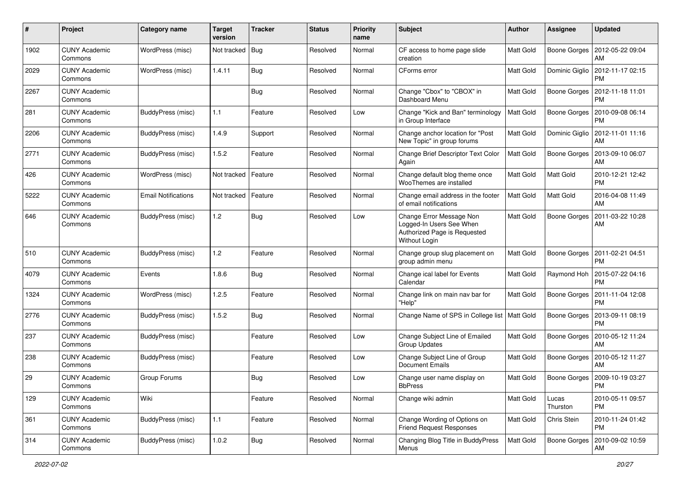| #    | Project                         | Category name              | <b>Target</b><br>version | <b>Tracker</b> | <b>Status</b> | <b>Priority</b><br>name | Subject                                                                                               | <b>Author</b>    | <b>Assignee</b>     | <b>Updated</b>                        |
|------|---------------------------------|----------------------------|--------------------------|----------------|---------------|-------------------------|-------------------------------------------------------------------------------------------------------|------------------|---------------------|---------------------------------------|
| 1902 | <b>CUNY Academic</b><br>Commons | WordPress (misc)           | Not tracked              | Bug            | Resolved      | Normal                  | CF access to home page slide<br>creation                                                              | Matt Gold        | Boone Gorges        | 2012-05-22 09:04<br>AM                |
| 2029 | <b>CUNY Academic</b><br>Commons | WordPress (misc)           | 1.4.11                   | Bug            | Resolved      | Normal                  | CForms error                                                                                          | Matt Gold        | Dominic Giglio      | 2012-11-17 02:15<br><b>PM</b>         |
| 2267 | <b>CUNY Academic</b><br>Commons |                            |                          | Bug            | Resolved      | Normal                  | Change "Cbox" to "CBOX" in<br>Dashboard Menu                                                          | Matt Gold        | <b>Boone Gorges</b> | 2012-11-18 11:01<br><b>PM</b>         |
| 281  | <b>CUNY Academic</b><br>Commons | BuddyPress (misc)          | 1.1                      | Feature        | Resolved      | Low                     | Change "Kick and Ban" terminology<br>in Group Interface                                               | Matt Gold        | <b>Boone Gorges</b> | 2010-09-08 06:14<br><b>PM</b>         |
| 2206 | <b>CUNY Academic</b><br>Commons | BuddyPress (misc)          | 1.4.9                    | Support        | Resolved      | Normal                  | Change anchor location for "Post<br>New Topic" in group forums                                        | <b>Matt Gold</b> | Dominic Giglio      | 2012-11-01 11:16<br>AM                |
| 2771 | <b>CUNY Academic</b><br>Commons | BuddyPress (misc)          | 1.5.2                    | Feature        | Resolved      | Normal                  | Change Brief Descriptor Text Color<br>Again                                                           | Matt Gold        | Boone Gorges        | 2013-09-10 06:07<br>AM                |
| 426  | <b>CUNY Academic</b><br>Commons | WordPress (misc)           | Not tracked              | Feature        | Resolved      | Normal                  | Change default blog theme once<br>WooThemes are installed                                             | Matt Gold        | <b>Matt Gold</b>    | 2010-12-21 12:42<br><b>PM</b>         |
| 5222 | <b>CUNY Academic</b><br>Commons | <b>Email Notifications</b> | Not tracked              | Feature        | Resolved      | Normal                  | Change email address in the footer<br>of email notifications                                          | Matt Gold        | Matt Gold           | 2016-04-08 11:49<br>AM                |
| 646  | <b>CUNY Academic</b><br>Commons | BuddyPress (misc)          | 1.2                      | Bug            | Resolved      | Low                     | Change Error Message Non<br>Logged-In Users See When<br>Authorized Page is Requested<br>Without Login | <b>Matt Gold</b> | Boone Gorges        | 2011-03-22 10:28<br>AM                |
| 510  | <b>CUNY Academic</b><br>Commons | BuddyPress (misc)          | 1.2                      | Feature        | Resolved      | Normal                  | Change group slug placement on<br>group admin menu                                                    | Matt Gold        | Boone Gorges        | 2011-02-21 04:51<br><b>PM</b>         |
| 4079 | <b>CUNY Academic</b><br>Commons | Events                     | 1.8.6                    | Bug            | Resolved      | Normal                  | Change ical label for Events<br>Calendar                                                              | Matt Gold        | Raymond Hoh         | 2015-07-22 04:16<br><b>PM</b>         |
| 1324 | <b>CUNY Academic</b><br>Commons | WordPress (misc)           | 1.2.5                    | Feature        | Resolved      | Normal                  | Change link on main nav bar for<br>"Help"                                                             | Matt Gold        | Boone Gorges        | 2011-11-04 12:08<br><b>PM</b>         |
| 2776 | <b>CUNY Academic</b><br>Commons | BuddyPress (misc)          | 1.5.2                    | Bug            | Resolved      | Normal                  | Change Name of SPS in College list   Matt Gold                                                        |                  | Boone Gorges        | 2013-09-11 08:19<br><b>PM</b>         |
| 237  | <b>CUNY Academic</b><br>Commons | BuddyPress (misc)          |                          | Feature        | Resolved      | Low                     | Change Subject Line of Emailed<br><b>Group Updates</b>                                                | Matt Gold        | Boone Gorges        | 2010-05-12 11:24<br>AM                |
| 238  | <b>CUNY Academic</b><br>Commons | BuddyPress (misc)          |                          | Feature        | Resolved      | Low                     | Change Subject Line of Group<br><b>Document Emails</b>                                                | Matt Gold        |                     | Boone Gorges   2010-05-12 11:27<br>AM |
| 29   | <b>CUNY Academic</b><br>Commons | Group Forums               |                          | Bug            | Resolved      | Low                     | Change user name display on<br><b>BbPress</b>                                                         | Matt Gold        |                     | Boone Gorges   2009-10-19 03:27<br>PM |
| 129  | <b>CUNY Academic</b><br>Commons | Wiki                       |                          | Feature        | Resolved      | Normal                  | Change wiki admin                                                                                     | Matt Gold        | Lucas<br>Thurston   | 2010-05-11 09:57<br><b>PM</b>         |
| 361  | <b>CUNY Academic</b><br>Commons | BuddyPress (misc)          | $1.1$                    | Feature        | Resolved      | Normal                  | Change Wording of Options on<br><b>Friend Request Responses</b>                                       | Matt Gold        | Chris Stein         | 2010-11-24 01:42<br><b>PM</b>         |
| 314  | <b>CUNY Academic</b><br>Commons | BuddyPress (misc)          | 1.0.2                    | <b>Bug</b>     | Resolved      | Normal                  | Changing Blog Title in BuddyPress<br>Menus                                                            | Matt Gold        | Boone Gorges        | 2010-09-02 10:59<br>AM                |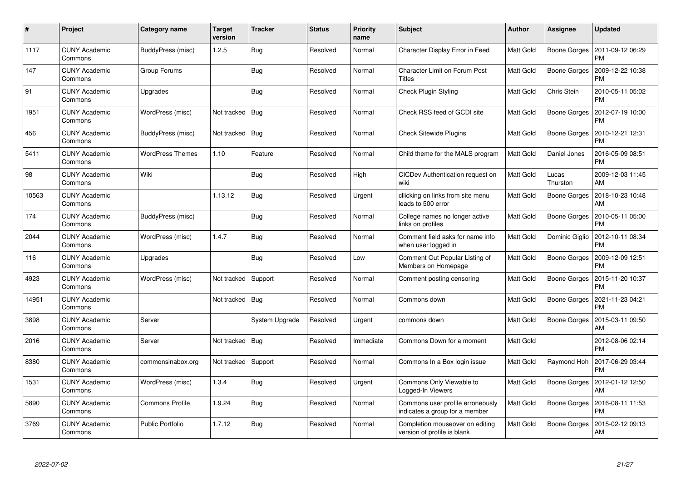| #     | Project                         | Category name           | <b>Target</b><br>version | <b>Tracker</b> | <b>Status</b> | <b>Priority</b><br>name | <b>Subject</b>                                                     | <b>Author</b>    | <b>Assignee</b>     | <b>Updated</b>                |
|-------|---------------------------------|-------------------------|--------------------------|----------------|---------------|-------------------------|--------------------------------------------------------------------|------------------|---------------------|-------------------------------|
| 1117  | <b>CUNY Academic</b><br>Commons | BuddyPress (misc)       | 1.2.5                    | Bug            | Resolved      | Normal                  | Character Display Error in Feed                                    | Matt Gold        | Boone Gorges        | 2011-09-12 06:29<br><b>PM</b> |
| 147   | <b>CUNY Academic</b><br>Commons | Group Forums            |                          | Bug            | Resolved      | Normal                  | <b>Character Limit on Forum Post</b><br><b>Titles</b>              | Matt Gold        | Boone Gorges        | 2009-12-22 10:38<br><b>PM</b> |
| 91    | <b>CUNY Academic</b><br>Commons | Upgrades                |                          | <b>Bug</b>     | Resolved      | Normal                  | Check Plugin Styling                                               | Matt Gold        | Chris Stein         | 2010-05-11 05:02<br><b>PM</b> |
| 1951  | <b>CUNY Academic</b><br>Commons | WordPress (misc)        | Not tracked   Bug        |                | Resolved      | Normal                  | Check RSS feed of GCDI site                                        | Matt Gold        | Boone Gorges        | 2012-07-19 10:00<br><b>PM</b> |
| 456   | <b>CUNY Academic</b><br>Commons | BuddyPress (misc)       | Not tracked   Bug        |                | Resolved      | Normal                  | <b>Check Sitewide Plugins</b>                                      | Matt Gold        | Boone Gorges        | 2010-12-21 12:31<br><b>PM</b> |
| 5411  | <b>CUNY Academic</b><br>Commons | <b>WordPress Themes</b> | 1.10                     | Feature        | Resolved      | Normal                  | Child theme for the MALS program                                   | Matt Gold        | Daniel Jones        | 2016-05-09 08:51<br><b>PM</b> |
| 98    | <b>CUNY Academic</b><br>Commons | Wiki                    |                          | Bug            | Resolved      | High                    | CICDev Authentication request on<br>wiki                           | Matt Gold        | Lucas<br>Thurston   | 2009-12-03 11:45<br>AM        |
| 10563 | <b>CUNY Academic</b><br>Commons |                         | 1.13.12                  | Bug            | Resolved      | Urgent                  | cllicking on links from site menu<br>leads to 500 error            | Matt Gold        | Boone Gorges        | 2018-10-23 10:48<br>AM        |
| 174   | <b>CUNY Academic</b><br>Commons | BuddyPress (misc)       |                          | <b>Bug</b>     | Resolved      | Normal                  | College names no longer active<br>links on profiles                | <b>Matt Gold</b> | Boone Gorges        | 2010-05-11 05:00<br><b>PM</b> |
| 2044  | <b>CUNY Academic</b><br>Commons | WordPress (misc)        | 1.4.7                    | Bug            | Resolved      | Normal                  | Comment field asks for name info<br>when user logged in            | Matt Gold        | Dominic Giglio      | 2012-10-11 08:34<br><b>PM</b> |
| 116   | <b>CUNY Academic</b><br>Commons | Upgrades                |                          | <b>Bug</b>     | Resolved      | Low                     | Comment Out Popular Listing of<br>Members on Homepage              | Matt Gold        | Boone Gorges        | 2009-12-09 12:51<br><b>PM</b> |
| 4923  | <b>CUNY Academic</b><br>Commons | WordPress (misc)        | Not tracked   Support    |                | Resolved      | Normal                  | Comment posting censoring                                          | Matt Gold        | Boone Gorges        | 2015-11-20 10:37<br><b>PM</b> |
| 14951 | <b>CUNY Academic</b><br>Commons |                         | Not tracked   Bug        |                | Resolved      | Normal                  | Commons down                                                       | Matt Gold        | Boone Gorges        | 2021-11-23 04:21<br><b>PM</b> |
| 3898  | <b>CUNY Academic</b><br>Commons | Server                  |                          | System Upgrade | Resolved      | Urgent                  | commons down                                                       | Matt Gold        | Boone Gorges        | 2015-03-11 09:50<br>AM        |
| 2016  | <b>CUNY Academic</b><br>Commons | Server                  | Not tracked   Bug        |                | Resolved      | Immediate               | Commons Down for a moment                                          | Matt Gold        |                     | 2012-08-06 02:14<br><b>PM</b> |
| 8380  | <b>CUNY Academic</b><br>Commons | commonsinabox.org       | Not tracked   Support    |                | Resolved      | Normal                  | Commons In a Box login issue                                       | Matt Gold        | Raymond Hoh         | 2017-06-29 03:44<br><b>PM</b> |
| 1531  | <b>CUNY Academic</b><br>Commons | WordPress (misc)        | 1.3.4                    | Bug            | Resolved      | Urgent                  | Commons Only Viewable to<br>Logged-In Viewers                      | Matt Gold        | Boone Gorges        | 2012-01-12 12:50<br>AM        |
| 5890  | <b>CUNY Academic</b><br>Commons | Commons Profile         | 1.9.24                   | Bug            | Resolved      | Normal                  | Commons user profile erroneously<br>indicates a group for a member | Matt Gold        | Boone Gorges        | 2016-08-11 11:53<br><b>PM</b> |
| 3769  | <b>CUNY Academic</b><br>Commons | <b>Public Portfolio</b> | 1.7.12                   | <b>Bug</b>     | Resolved      | Normal                  | Completion mouseover on editing<br>version of profile is blank     | Matt Gold        | <b>Boone Gorges</b> | 2015-02-12 09:13<br>AM        |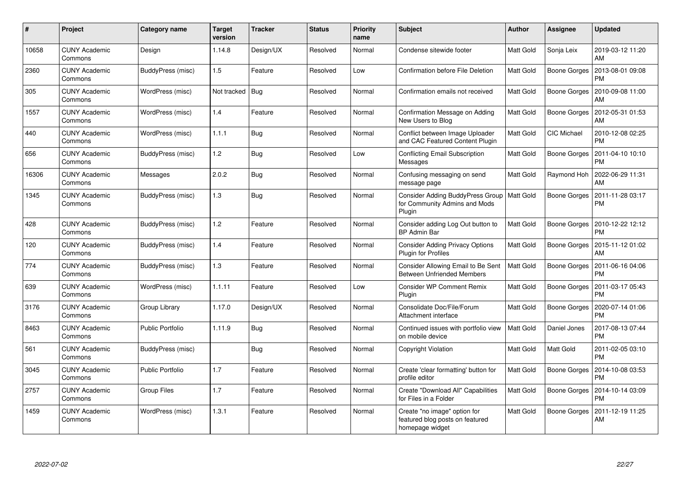| #     | Project                         | Category name           | <b>Target</b><br>version | <b>Tracker</b> | <b>Status</b> | <b>Priority</b><br>name | <b>Subject</b>                                                                          | Author           | <b>Assignee</b>     | <b>Updated</b>                               |
|-------|---------------------------------|-------------------------|--------------------------|----------------|---------------|-------------------------|-----------------------------------------------------------------------------------------|------------------|---------------------|----------------------------------------------|
| 10658 | <b>CUNY Academic</b><br>Commons | Design                  | 1.14.8                   | Design/UX      | Resolved      | Normal                  | Condense sitewide footer                                                                | Matt Gold        | Sonja Leix          | 2019-03-12 11:20<br>AM                       |
| 2360  | <b>CUNY Academic</b><br>Commons | BuddyPress (misc)       | 1.5                      | Feature        | Resolved      | Low                     | Confirmation before File Deletion                                                       | <b>Matt Gold</b> | <b>Boone Gorges</b> | 2013-08-01 09:08<br><b>PM</b>                |
| 305   | <b>CUNY Academic</b><br>Commons | WordPress (misc)        | Not tracked              | Bug            | Resolved      | Normal                  | Confirmation emails not received                                                        | Matt Gold        | <b>Boone Gorges</b> | 2010-09-08 11:00<br>AM                       |
| 1557  | <b>CUNY Academic</b><br>Commons | WordPress (misc)        | 1.4                      | Feature        | Resolved      | Normal                  | Confirmation Message on Adding<br>New Users to Blog                                     | Matt Gold        | <b>Boone Gorges</b> | 2012-05-31 01:53<br>AM                       |
| 440   | <b>CUNY Academic</b><br>Commons | WordPress (misc)        | 1.1.1                    | Bug            | Resolved      | Normal                  | Conflict between Image Uploader<br>and CAC Featured Content Plugin                      | Matt Gold        | <b>CIC Michael</b>  | 2010-12-08 02:25<br><b>PM</b>                |
| 656   | <b>CUNY Academic</b><br>Commons | BuddyPress (misc)       | 1.2                      | Bug            | Resolved      | Low                     | Conflicting Email Subscription<br>Messages                                              | Matt Gold        | Boone Gorges        | 2011-04-10 10:10<br><b>PM</b>                |
| 16306 | <b>CUNY Academic</b><br>Commons | Messages                | 2.0.2                    | Bug            | Resolved      | Normal                  | Confusing messaging on send<br>message page                                             | Matt Gold        | Raymond Hoh         | 2022-06-29 11:31<br>AM                       |
| 1345  | <b>CUNY Academic</b><br>Commons | BuddyPress (misc)       | 1.3                      | Bug            | Resolved      | Normal                  | Consider Adding BuddyPress Group   Matt Gold<br>for Community Admins and Mods<br>Plugin |                  | Boone Gorges        | 2011-11-28 03:17<br><b>PM</b>                |
| 428   | <b>CUNY Academic</b><br>Commons | BuddyPress (misc)       | 1.2                      | Feature        | Resolved      | Normal                  | Consider adding Log Out button to<br><b>BP Admin Bar</b>                                | Matt Gold        | Boone Gorges        | 2010-12-22 12:12<br><b>PM</b>                |
| 120   | <b>CUNY Academic</b><br>Commons | BuddyPress (misc)       | 1.4                      | Feature        | Resolved      | Normal                  | <b>Consider Adding Privacy Options</b><br>Plugin for Profiles                           | Matt Gold        | Boone Gorges        | 2015-11-12 01:02<br>AM                       |
| 774   | <b>CUNY Academic</b><br>Commons | BuddyPress (misc)       | 1.3                      | Feature        | Resolved      | Normal                  | Consider Allowing Email to Be Sent<br><b>Between Unfriended Members</b>                 | <b>Matt Gold</b> | Boone Gorges        | 2011-06-16 04:06<br><b>PM</b>                |
| 639   | <b>CUNY Academic</b><br>Commons | WordPress (misc)        | 1.1.11                   | Feature        | Resolved      | Low                     | <b>Consider WP Comment Remix</b><br>Plugin                                              | Matt Gold        | Boone Gorges        | 2011-03-17 05:43<br><b>PM</b>                |
| 3176  | <b>CUNY Academic</b><br>Commons | Group Library           | 1.17.0                   | Design/UX      | Resolved      | Normal                  | Consolidate Doc/File/Forum<br>Attachment interface                                      | Matt Gold        | Boone Gorges        | 2020-07-14 01:06<br><b>PM</b>                |
| 8463  | <b>CUNY Academic</b><br>Commons | <b>Public Portfolio</b> | 1.11.9                   | <b>Bug</b>     | Resolved      | Normal                  | Continued issues with portfolio view<br>on mobile device                                | Matt Gold        | Daniel Jones        | 2017-08-13 07:44<br><b>PM</b>                |
| 561   | <b>CUNY Academic</b><br>Commons | BuddyPress (misc)       |                          | Bug            | Resolved      | Normal                  | <b>Copyright Violation</b>                                                              | Matt Gold        | Matt Gold           | 2011-02-05 03:10<br><b>PM</b>                |
| 3045  | <b>CUNY Academic</b><br>Commons | <b>Public Portfolio</b> | 1.7                      | Feature        | Resolved      | Normal                  | Create 'clear formatting' button for<br>profile editor                                  | Matt Gold        | Boone Gorges        | 2014-10-08 03:53<br><b>PM</b>                |
| 2757  | <b>CUNY Academic</b><br>Commons | Group Files             | 1.7                      | Feature        | Resolved      | Normal                  | Create "Download All" Capabilities<br>for Files in a Folder                             | Matt Gold        |                     | Boone Gorges   2014-10-14 03:09<br><b>PM</b> |
| 1459  | <b>CUNY Academic</b><br>Commons | WordPress (misc)        | 1.3.1                    | Feature        | Resolved      | Normal                  | Create "no image" option for<br>featured blog posts on featured<br>homepage widget      | Matt Gold        | Boone Gorges        | 2011-12-19 11:25<br>AM                       |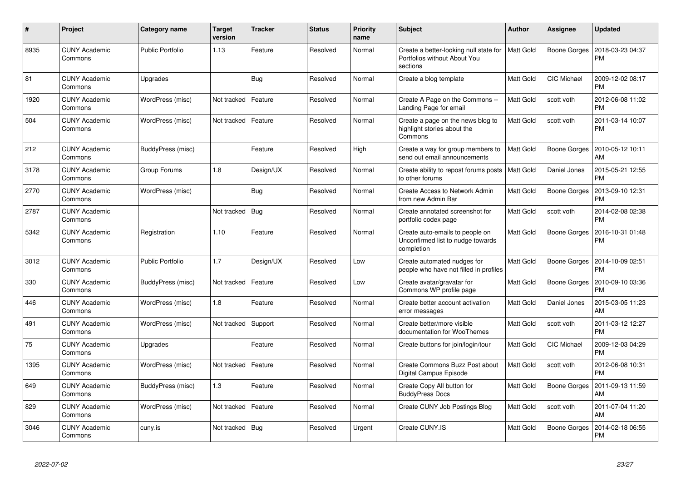| $\pmb{\#}$ | <b>Project</b>                  | Category name           | <b>Target</b><br>version | <b>Tracker</b> | <b>Status</b> | <b>Priority</b><br>name | <b>Subject</b>                                                                     | <b>Author</b>    | <b>Assignee</b>     | <b>Updated</b>                |
|------------|---------------------------------|-------------------------|--------------------------|----------------|---------------|-------------------------|------------------------------------------------------------------------------------|------------------|---------------------|-------------------------------|
| 8935       | <b>CUNY Academic</b><br>Commons | <b>Public Portfolio</b> | 1.13                     | Feature        | Resolved      | Normal                  | Create a better-looking null state for<br>Portfolios without About You<br>sections | <b>Matt Gold</b> | Boone Gorges        | 2018-03-23 04:37<br><b>PM</b> |
| 81         | <b>CUNY Academic</b><br>Commons | Upgrades                |                          | Bug            | Resolved      | Normal                  | Create a blog template                                                             | Matt Gold        | CIC Michael         | 2009-12-02 08:17<br><b>PM</b> |
| 1920       | <b>CUNY Academic</b><br>Commons | WordPress (misc)        | Not tracked              | Feature        | Resolved      | Normal                  | Create A Page on the Commons --<br>Landing Page for email                          | <b>Matt Gold</b> | scott voth          | 2012-06-08 11:02<br><b>PM</b> |
| 504        | <b>CUNY Academic</b><br>Commons | WordPress (misc)        | Not tracked              | Feature        | Resolved      | Normal                  | Create a page on the news blog to<br>highlight stories about the<br>Commons        | Matt Gold        | scott voth          | 2011-03-14 10:07<br><b>PM</b> |
| 212        | <b>CUNY Academic</b><br>Commons | BuddyPress (misc)       |                          | Feature        | Resolved      | High                    | Create a way for group members to<br>send out email announcements                  | <b>Matt Gold</b> | Boone Gorges        | 2010-05-12 10:11<br>AM        |
| 3178       | <b>CUNY Academic</b><br>Commons | Group Forums            | 1.8                      | Design/UX      | Resolved      | Normal                  | Create ability to repost forums posts<br>to other forums                           | <b>Matt Gold</b> | Daniel Jones        | 2015-05-21 12:55<br><b>PM</b> |
| 2770       | <b>CUNY Academic</b><br>Commons | WordPress (misc)        |                          | Bug            | Resolved      | Normal                  | Create Access to Network Admin<br>from new Admin Bar                               | Matt Gold        | Boone Gorges        | 2013-09-10 12:31<br><b>PM</b> |
| 2787       | <b>CUNY Academic</b><br>Commons |                         | Not tracked              | <b>Bug</b>     | Resolved      | Normal                  | Create annotated screenshot for<br>portfolio codex page                            | Matt Gold        | scott voth          | 2014-02-08 02:38<br><b>PM</b> |
| 5342       | <b>CUNY Academic</b><br>Commons | Registration            | 1.10                     | Feature        | Resolved      | Normal                  | Create auto-emails to people on<br>Unconfirmed list to nudge towards<br>completion | Matt Gold        | <b>Boone Gorges</b> | 2016-10-31 01:48<br><b>PM</b> |
| 3012       | <b>CUNY Academic</b><br>Commons | <b>Public Portfolio</b> | 1.7                      | Design/UX      | Resolved      | Low                     | Create automated nudges for<br>people who have not filled in profiles              | <b>Matt Gold</b> | Boone Gorges        | 2014-10-09 02:51<br><b>PM</b> |
| 330        | <b>CUNY Academic</b><br>Commons | BuddyPress (misc)       | Not tracked              | Feature        | Resolved      | Low                     | Create avatar/gravatar for<br>Commons WP profile page                              | Matt Gold        | Boone Gorges        | 2010-09-10 03:36<br><b>PM</b> |
| 446        | <b>CUNY Academic</b><br>Commons | WordPress (misc)        | 1.8                      | Feature        | Resolved      | Normal                  | Create better account activation<br>error messages                                 | Matt Gold        | Daniel Jones        | 2015-03-05 11:23<br>AM        |
| 491        | <b>CUNY Academic</b><br>Commons | WordPress (misc)        | Not tracked              | Support        | Resolved      | Normal                  | Create better/more visible<br>documentation for WooThemes                          | Matt Gold        | scott voth          | 2011-03-12 12:27<br><b>PM</b> |
| 75         | <b>CUNY Academic</b><br>Commons | Upgrades                |                          | Feature        | Resolved      | Normal                  | Create buttons for join/login/tour                                                 | Matt Gold        | CIC Michael         | 2009-12-03 04:29<br><b>PM</b> |
| 1395       | <b>CUNY Academic</b><br>Commons | WordPress (misc)        | Not tracked              | Feature        | Resolved      | Normal                  | Create Commons Buzz Post about<br>Digital Campus Episode                           | <b>Matt Gold</b> | scott voth          | 2012-06-08 10:31<br><b>PM</b> |
| 649        | <b>CUNY Academic</b><br>Commons | BuddyPress (misc)       | 1.3                      | Feature        | Resolved      | Normal                  | Create Copy All button for<br><b>BuddyPress Docs</b>                               | Matt Gold        | Boone Gorges        | 2011-09-13 11:59<br>AM        |
| 829        | <b>CUNY Academic</b><br>Commons | WordPress (misc)        | Not tracked              | Feature        | Resolved      | Normal                  | Create CUNY Job Postings Blog                                                      | Matt Gold        | scott voth          | 2011-07-04 11:20<br>AM        |
| 3046       | <b>CUNY Academic</b><br>Commons | cuny.is                 | Not tracked              | Bug            | Resolved      | Urgent                  | Create CUNY.IS                                                                     | Matt Gold        | Boone Gorges        | 2014-02-18 06:55<br><b>PM</b> |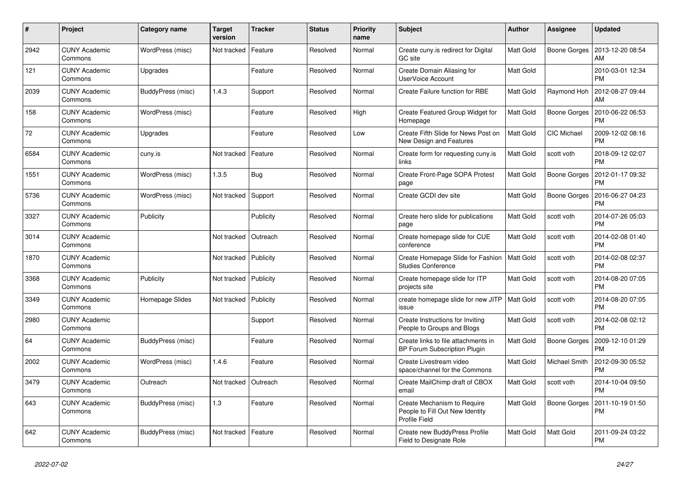| $\#$ | Project                         | Category name     | <b>Target</b><br>version | <b>Tracker</b> | <b>Status</b> | <b>Priority</b><br>name | <b>Subject</b>                                                                         | <b>Author</b>    | Assignee            | <b>Updated</b>                        |
|------|---------------------------------|-------------------|--------------------------|----------------|---------------|-------------------------|----------------------------------------------------------------------------------------|------------------|---------------------|---------------------------------------|
| 2942 | <b>CUNY Academic</b><br>Commons | WordPress (misc)  | Not tracked              | Feature        | Resolved      | Normal                  | Create cuny.is redirect for Digital<br>GC site                                         | <b>Matt Gold</b> |                     | Boone Gorges   2013-12-20 08:54<br>AM |
| 121  | <b>CUNY Academic</b><br>Commons | Upgrades          |                          | Feature        | Resolved      | Normal                  | Create Domain Aliasing for<br><b>UserVoice Account</b>                                 | Matt Gold        |                     | 2010-03-01 12:34<br><b>PM</b>         |
| 2039 | <b>CUNY Academic</b><br>Commons | BuddyPress (misc) | 1.4.3                    | Support        | Resolved      | Normal                  | Create Failure function for RBE                                                        | Matt Gold        | Raymond Hoh         | 2012-08-27 09:44<br>AM                |
| 158  | <b>CUNY Academic</b><br>Commons | WordPress (misc)  |                          | Feature        | Resolved      | High                    | Create Featured Group Widget for<br>Homepage                                           | <b>Matt Gold</b> | Boone Gorges        | 2010-06-22 06:53<br><b>PM</b>         |
| 72   | <b>CUNY Academic</b><br>Commons | Upgrades          |                          | Feature        | Resolved      | Low                     | Create Fifth Slide for News Post on<br>New Design and Features                         | Matt Gold        | <b>CIC Michael</b>  | 2009-12-02 08:16<br><b>PM</b>         |
| 6584 | <b>CUNY Academic</b><br>Commons | cuny.is           | Not tracked              | Feature        | Resolved      | Normal                  | Create form for requesting cuny.is<br>links                                            | Matt Gold        | scott voth          | 2018-09-12 02:07<br><b>PM</b>         |
| 1551 | <b>CUNY Academic</b><br>Commons | WordPress (misc)  | 1.3.5                    | Bug            | Resolved      | Normal                  | Create Front-Page SOPA Protest<br>page                                                 | Matt Gold        | Boone Gorges        | 2012-01-17 09:32<br><b>PM</b>         |
| 5736 | <b>CUNY Academic</b><br>Commons | WordPress (misc)  | Not tracked              | Support        | Resolved      | Normal                  | Create GCDI dev site                                                                   | Matt Gold        | Boone Gorges        | 2016-06-27 04:23<br><b>PM</b>         |
| 3327 | <b>CUNY Academic</b><br>Commons | Publicity         |                          | Publicity      | Resolved      | Normal                  | Create hero slide for publications<br>page                                             | <b>Matt Gold</b> | scott voth          | 2014-07-26 05:03<br><b>PM</b>         |
| 3014 | <b>CUNY Academic</b><br>Commons |                   | Not tracked              | Outreach       | Resolved      | Normal                  | Create homepage slide for CUE<br>conference                                            | <b>Matt Gold</b> | scott voth          | 2014-02-08 01:40<br><b>PM</b>         |
| 1870 | <b>CUNY Academic</b><br>Commons |                   | Not tracked              | Publicity      | Resolved      | Normal                  | Create Homepage Slide for Fashion<br><b>Studies Conference</b>                         | Matt Gold        | scott voth          | 2014-02-08 02:37<br><b>PM</b>         |
| 3368 | <b>CUNY Academic</b><br>Commons | Publicity         | Not tracked              | Publicity      | Resolved      | Normal                  | Create homepage slide for ITP<br>projects site                                         | Matt Gold        | scott voth          | 2014-08-20 07:05<br><b>PM</b>         |
| 3349 | <b>CUNY Academic</b><br>Commons | Homepage Slides   | Not tracked              | Publicity      | Resolved      | Normal                  | create homepage slide for new JITP<br>issue                                            | Matt Gold        | scott voth          | 2014-08-20 07:05<br><b>PM</b>         |
| 2980 | <b>CUNY Academic</b><br>Commons |                   |                          | Support        | Resolved      | Normal                  | Create Instructions for Inviting<br>People to Groups and Blogs                         | Matt Gold        | scott voth          | 2014-02-08 02:12<br><b>PM</b>         |
| 64   | <b>CUNY Academic</b><br>Commons | BuddyPress (misc) |                          | Feature        | Resolved      | Normal                  | Create links to file attachments in<br>BP Forum Subscription Plugin                    | <b>Matt Gold</b> | <b>Boone Gorges</b> | 2009-12-10 01:29<br><b>PM</b>         |
| 2002 | <b>CUNY Academic</b><br>Commons | WordPress (misc)  | 1.4.6                    | Feature        | Resolved      | Normal                  | Create Livestream video<br>space/channel for the Commons                               | Matt Gold        | Michael Smith       | 2012-09-30 05:52<br><b>PM</b>         |
| 3479 | <b>CUNY Academic</b><br>Commons | Outreach          | Not tracked              | Outreach       | Resolved      | Normal                  | Create MailChimp draft of CBOX<br>email                                                | Matt Gold        | scott voth          | 2014-10-04 09:50<br><b>PM</b>         |
| 643  | <b>CUNY Academic</b><br>Commons | BuddyPress (misc) | 1.3                      | Feature        | Resolved      | Normal                  | Create Mechanism to Require<br>People to Fill Out New Identity<br><b>Profile Field</b> | Matt Gold        | Boone Gorges        | 2011-10-19 01:50<br><b>PM</b>         |
| 642  | <b>CUNY Academic</b><br>Commons | BuddyPress (misc) | Not tracked              | Feature        | Resolved      | Normal                  | Create new BuddyPress Profile<br>Field to Designate Role                               | Matt Gold        | Matt Gold           | 2011-09-24 03:22<br><b>PM</b>         |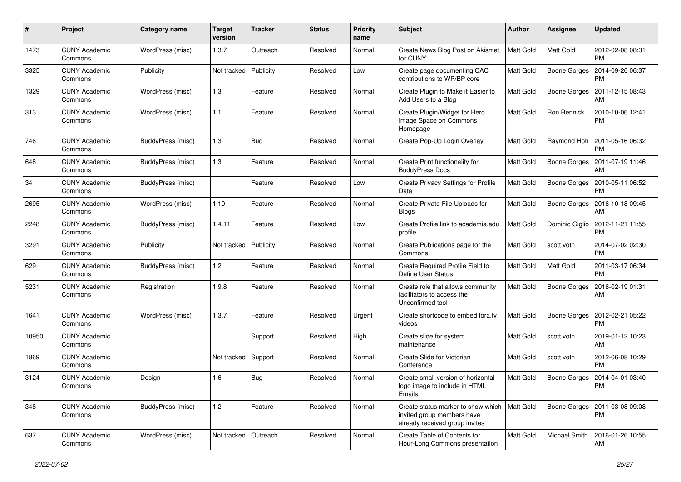| $\pmb{\#}$ | Project                         | Category name     | <b>Target</b><br>version | <b>Tracker</b> | <b>Status</b> | Priority<br>name | <b>Subject</b>                                                                                     | <b>Author</b>    | Assignee            | <b>Updated</b>                        |
|------------|---------------------------------|-------------------|--------------------------|----------------|---------------|------------------|----------------------------------------------------------------------------------------------------|------------------|---------------------|---------------------------------------|
| 1473       | <b>CUNY Academic</b><br>Commons | WordPress (misc)  | 1.3.7                    | Outreach       | Resolved      | Normal           | Create News Blog Post on Akismet<br>for CUNY                                                       | <b>Matt Gold</b> | <b>Matt Gold</b>    | 2012-02-08 08:31<br><b>PM</b>         |
| 3325       | <b>CUNY Academic</b><br>Commons | Publicity         | Not tracked              | Publicity      | Resolved      | Low              | Create page documenting CAC<br>contributions to WP/BP core                                         | Matt Gold        | Boone Gorges        | 2014-09-26 06:37<br><b>PM</b>         |
| 1329       | <b>CUNY Academic</b><br>Commons | WordPress (misc)  | 1.3                      | Feature        | Resolved      | Normal           | Create Plugin to Make it Easier to<br>Add Users to a Blog                                          | Matt Gold        | Boone Gorges        | 2011-12-15 08:43<br>AM                |
| 313        | <b>CUNY Academic</b><br>Commons | WordPress (misc)  | $1.1$                    | Feature        | Resolved      | Normal           | Create Plugin/Widget for Hero<br>Image Space on Commons<br>Homepage                                | Matt Gold        | Ron Rennick         | 2010-10-06 12:41<br><b>PM</b>         |
| 746        | <b>CUNY Academic</b><br>Commons | BuddyPress (misc) | 1.3                      | Bug            | Resolved      | Normal           | Create Pop-Up Login Overlay                                                                        | Matt Gold        | Raymond Hoh         | 2011-05-16 06:32<br><b>PM</b>         |
| 648        | <b>CUNY Academic</b><br>Commons | BuddyPress (misc) | 1.3                      | Feature        | Resolved      | Normal           | Create Print functionality for<br><b>BuddyPress Docs</b>                                           | Matt Gold        | Boone Gorges        | 2011-07-19 11:46<br>AM                |
| 34         | <b>CUNY Academic</b><br>Commons | BuddyPress (misc) |                          | Feature        | Resolved      | Low              | Create Privacy Settings for Profile<br>Data                                                        | Matt Gold        | Boone Gorges        | 2010-05-11 06:52<br><b>PM</b>         |
| 2695       | <b>CUNY Academic</b><br>Commons | WordPress (misc)  | 1.10                     | Feature        | Resolved      | Normal           | Create Private File Uploads for<br>Blogs                                                           | Matt Gold        | Boone Gorges        | 2016-10-18 09:45<br>AM                |
| 2248       | <b>CUNY Academic</b><br>Commons | BuddyPress (misc) | 1.4.11                   | Feature        | Resolved      | Low              | Create Profile link to academia.edu<br>profile                                                     | Matt Gold        | Dominic Giglio      | 2012-11-21 11:55<br><b>PM</b>         |
| 3291       | <b>CUNY Academic</b><br>Commons | Publicity         | Not tracked              | Publicity      | Resolved      | Normal           | Create Publications page for the<br>Commons                                                        | Matt Gold        | scott voth          | 2014-07-02 02:30<br><b>PM</b>         |
| 629        | CUNY Academic<br>Commons        | BuddyPress (misc) | 1.2                      | Feature        | Resolved      | Normal           | Create Required Profile Field to<br><b>Define User Status</b>                                      | Matt Gold        | Matt Gold           | 2011-03-17 06:34<br><b>PM</b>         |
| 5231       | <b>CUNY Academic</b><br>Commons | Registration      | 1.9.8                    | Feature        | Resolved      | Normal           | Create role that allows community<br>facilitators to access the<br>Unconfirmed tool                | Matt Gold        | <b>Boone Gorges</b> | 2016-02-19 01:31<br>AM                |
| 1641       | <b>CUNY Academic</b><br>Commons | WordPress (misc)  | 1.3.7                    | Feature        | Resolved      | Urgent           | Create shortcode to embed fora.tv<br>videos                                                        | Matt Gold        | Boone Gorges        | 2012-02-21 05:22<br><b>PM</b>         |
| 10950      | <b>CUNY Academic</b><br>Commons |                   |                          | Support        | Resolved      | High             | Create slide for system<br>maintenance                                                             | Matt Gold        | scott voth          | 2019-01-12 10:23<br>AM                |
| 1869       | <b>CUNY Academic</b><br>Commons |                   | Not tracked              | Support        | Resolved      | Normal           | Create Slide for Victorian<br>Conference                                                           | Matt Gold        | scott voth          | 2012-06-08 10:29<br><b>PM</b>         |
| 3124       | <b>CUNY Academic</b><br>Commons | Design            | 1.6                      | Bug            | Resolved      | Normal           | Create small version of horizontal<br>logo image to include in HTML<br>Emails                      | Matt Gold        |                     | Boone Gorges   2014-04-01 03:40<br>PM |
| 348        | <b>CUNY Academic</b><br>Commons | BuddyPress (misc) | 1.2                      | Feature        | Resolved      | Normal           | Create status marker to show which<br>invited group members have<br>already received group invites | <b>Matt Gold</b> | Boone Gorges        | 2011-03-08 09:08<br>PM                |
| 637        | <b>CUNY Academic</b><br>Commons | WordPress (misc)  | Not tracked              | Outreach       | Resolved      | Normal           | Create Table of Contents for<br>Hour-Long Commons presentation                                     | Matt Gold        | Michael Smith       | 2016-01-26 10:55<br>AM                |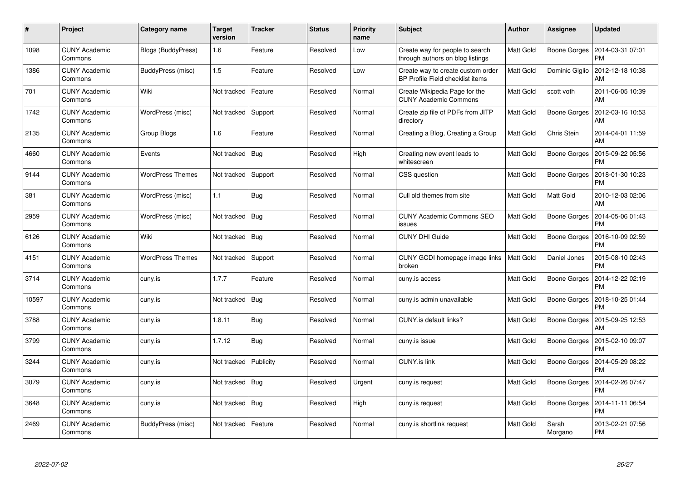| $\pmb{\#}$ | Project                         | Category name           | <b>Target</b><br>version | <b>Tracker</b> | <b>Status</b> | <b>Priority</b><br>name | <b>Subject</b>                                                        | Author           | <b>Assignee</b>     | <b>Updated</b>                |
|------------|---------------------------------|-------------------------|--------------------------|----------------|---------------|-------------------------|-----------------------------------------------------------------------|------------------|---------------------|-------------------------------|
| 1098       | <b>CUNY Academic</b><br>Commons | Blogs (BuddyPress)      | 1.6                      | Feature        | Resolved      | Low                     | Create way for people to search<br>through authors on blog listings   | Matt Gold        | Boone Gorges        | 2014-03-31 07:01<br><b>PM</b> |
| 1386       | <b>CUNY Academic</b><br>Commons | BuddyPress (misc)       | 1.5                      | Feature        | Resolved      | Low                     | Create way to create custom order<br>BP Profile Field checklist items | Matt Gold        | Dominic Giglio      | 2012-12-18 10:38<br>AM        |
| 701        | <b>CUNY Academic</b><br>Commons | Wiki                    | Not tracked              | Feature        | Resolved      | Normal                  | Create Wikipedia Page for the<br><b>CUNY Academic Commons</b>         | Matt Gold        | scott voth          | 2011-06-05 10:39<br>AM        |
| 1742       | <b>CUNY Academic</b><br>Commons | WordPress (misc)        | Not tracked              | Support        | Resolved      | Normal                  | Create zip file of PDFs from JITP<br>directory                        | Matt Gold        | Boone Gorges        | 2012-03-16 10:53<br>AM        |
| 2135       | <b>CUNY Academic</b><br>Commons | Group Blogs             | 1.6                      | Feature        | Resolved      | Normal                  | Creating a Blog, Creating a Group                                     | Matt Gold        | Chris Stein         | 2014-04-01 11:59<br>AM        |
| 4660       | <b>CUNY Academic</b><br>Commons | Events                  | Not tracked              | Bug            | Resolved      | High                    | Creating new event leads to<br>whitescreen                            | Matt Gold        | <b>Boone Gorges</b> | 2015-09-22 05:56<br><b>PM</b> |
| 9144       | <b>CUNY Academic</b><br>Commons | <b>WordPress Themes</b> | Not tracked              | Support        | Resolved      | Normal                  | CSS question                                                          | Matt Gold        | Boone Gorges        | 2018-01-30 10:23<br><b>PM</b> |
| 381        | <b>CUNY Academic</b><br>Commons | WordPress (misc)        | 1.1                      | Bug            | Resolved      | Normal                  | Cull old themes from site                                             | Matt Gold        | Matt Gold           | 2010-12-03 02:06<br>AM        |
| 2959       | <b>CUNY Academic</b><br>Commons | WordPress (misc)        | Not tracked              | <b>Bug</b>     | Resolved      | Normal                  | <b>CUNY Academic Commons SEO</b><br>issues                            | Matt Gold        | Boone Gorges        | 2014-05-06 01:43<br><b>PM</b> |
| 6126       | <b>CUNY Academic</b><br>Commons | Wiki                    | Not tracked              | Bug            | Resolved      | Normal                  | <b>CUNY DHI Guide</b>                                                 | Matt Gold        | <b>Boone Gorges</b> | 2016-10-09 02:59<br><b>PM</b> |
| 4151       | <b>CUNY Academic</b><br>Commons | <b>WordPress Themes</b> | Not tracked              | Support        | Resolved      | Normal                  | CUNY GCDI homepage image links<br>broken                              | <b>Matt Gold</b> | Daniel Jones        | 2015-08-10 02:43<br><b>PM</b> |
| 3714       | <b>CUNY Academic</b><br>Commons | cuny.is                 | 1.7.7                    | Feature        | Resolved      | Normal                  | cuny.is access                                                        | Matt Gold        | Boone Gorges        | 2014-12-22 02:19<br><b>PM</b> |
| 10597      | <b>CUNY Academic</b><br>Commons | cuny.is                 | Not tracked              | Bug            | Resolved      | Normal                  | cuny.is admin unavailable                                             | Matt Gold        | Boone Gorges        | 2018-10-25 01:44<br><b>PM</b> |
| 3788       | <b>CUNY Academic</b><br>Commons | cuny.is                 | 1.8.11                   | Bug            | Resolved      | Normal                  | CUNY.is default links?                                                | Matt Gold        | Boone Gorges        | 2015-09-25 12:53<br>AM        |
| 3799       | <b>CUNY Academic</b><br>Commons | cuny.is                 | 1.7.12                   | Bug            | Resolved      | Normal                  | cuny.is issue                                                         | Matt Gold        | Boone Gorges        | 2015-02-10 09:07<br><b>PM</b> |
| 3244       | <b>CUNY Academic</b><br>Commons | cuny.is                 | Not tracked              | Publicity      | Resolved      | Normal                  | <b>CUNY.is link</b>                                                   | Matt Gold        | Boone Gorges        | 2014-05-29 08:22<br><b>PM</b> |
| 3079       | <b>CUNY Academic</b><br>Commons | cuny.is                 | Not tracked   Bug        |                | Resolved      | Urgent                  | cuny.is request                                                       | Matt Gold        | Boone Gorges        | 2014-02-26 07:47<br><b>PM</b> |
| 3648       | <b>CUNY Academic</b><br>Commons | cuny.is                 | Not tracked              | <b>Bug</b>     | Resolved      | High                    | cuny.is request                                                       | Matt Gold        | <b>Boone Gorges</b> | 2014-11-11 06:54<br><b>PM</b> |
| 2469       | <b>CUNY Academic</b><br>Commons | BuddyPress (misc)       | Not tracked              | Feature        | Resolved      | Normal                  | cuny.is shortlink request                                             | Matt Gold        | Sarah<br>Morgano    | 2013-02-21 07:56<br>PM        |